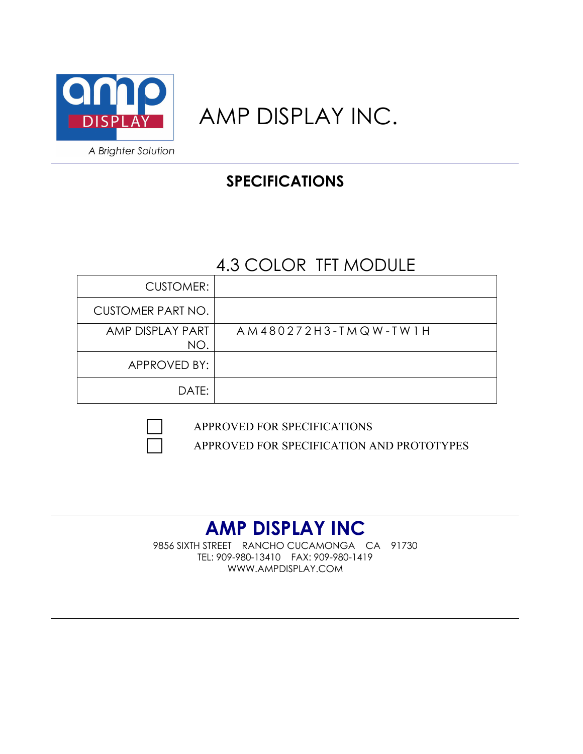

# AMP DISPLAY INC.

# **SPECIFICATIONS**

# 4.3 COLOR TFT MODULE

| <b>CUSTOMER:</b>        |                      |
|-------------------------|----------------------|
| CUSTOMER PART NO.       |                      |
| AMP DISPLAY PART<br>NO. | AM480272H3-TMQW-TW1H |
| APPROVED BY:            |                      |
| DATE:                   |                      |

APPROVED FOR SPECIFICATIONS

APPROVED FOR SPECIFICATION AND PROTOTYPES

# **AMP DISPLAY INC**

9856 SIXTH STREET RANCHO CUCAMONGA CA 91730 TEL: 909-980-13410 FAX: 909-980-1419 WWW.AMPDISPLAY.COM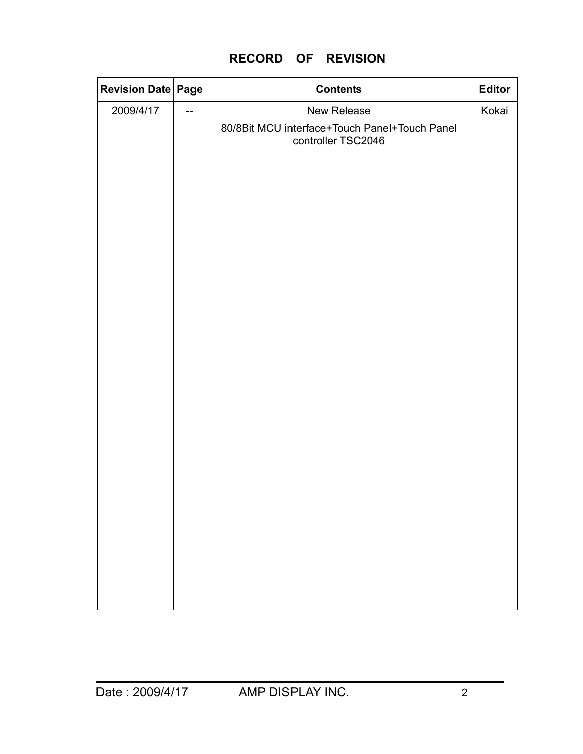|  |  |  | <b>RECORD OF REVISION</b> |
|--|--|--|---------------------------|
|--|--|--|---------------------------|

| <b>Revision Date Page</b> |                | <b>Contents</b>                                                     | Editor |
|---------------------------|----------------|---------------------------------------------------------------------|--------|
| 2009/4/17                 | $\overline{a}$ | New Release                                                         | Kokai  |
|                           |                | 80/8Bit MCU interface+Touch Panel+Touch Panel<br>controller TSC2046 |        |
|                           |                |                                                                     |        |
|                           |                |                                                                     |        |
|                           |                |                                                                     |        |
|                           |                |                                                                     |        |
|                           |                |                                                                     |        |
|                           |                |                                                                     |        |
|                           |                |                                                                     |        |
|                           |                |                                                                     |        |
|                           |                |                                                                     |        |
|                           |                |                                                                     |        |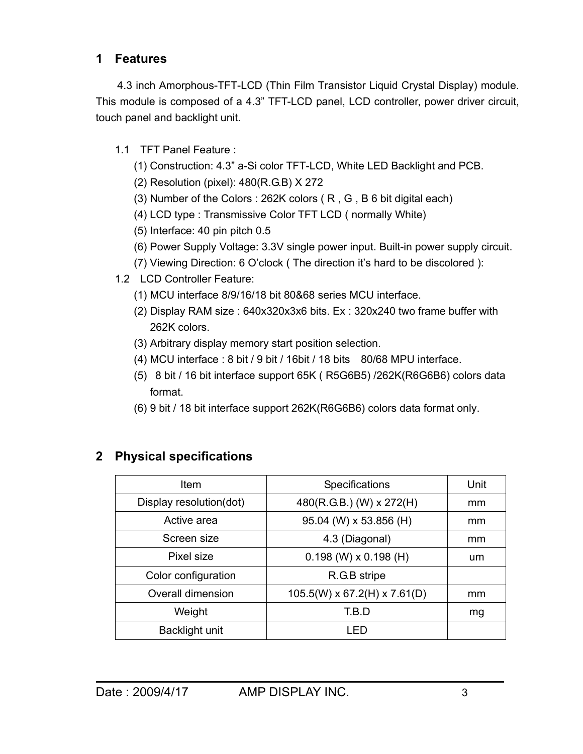# **1 Features**

4.3 inch Amorphous-TFT-LCD (Thin Film Transistor Liquid Crystal Display) module. This module is composed of a 4.3" TFT-LCD panel, LCD controller, power driver circuit, touch panel and backlight unit.

- 1.1 TFT Panel Feature :
	- (1) Construction: 4.3" a-Si color TFT-LCD, White LED Backlight and PCB.
	- (2) Resolution (pixel): 480(R.G.B) X 272
	- (3) Number of the Colors : 262K colors ( R , G , B 6 bit digital each)
	- (4) LCD type : Transmissive Color TFT LCD ( normally White)
	- (5) Interface: 40 pin pitch 0.5
	- (6) Power Supply Voltage: 3.3V single power input. Built-in power supply circuit.
	- (7) Viewing Direction: 6 O'clock ( The direction it's hard to be discolored ):
- 1.2 LCD Controller Feature:
	- (1) MCU interface 8/9/16/18 bit 80&68 series MCU interface.
	- (2) Display RAM size : 640x320x3x6 bits. Ex : 320x240 two frame buffer with 262K colors.
	- (3) Arbitrary display memory start position selection.
	- (4) MCU interface : 8 bit / 9 bit / 16bit / 18 bits 80/68 MPU interface.
	- (5) 8 bit / 16 bit interface support 65K ( R5G6B5) /262K(R6G6B6) colors data format.
	- (6) 9 bit / 18 bit interface support 262K(R6G6B6) colors data format only.

| Item                    | Specifications                           | Unit |
|-------------------------|------------------------------------------|------|
| Display resolution(dot) | 480(R.G.B.) (W) x 272(H)                 | mm   |
| Active area             | 95.04 (W) x 53.856 (H)                   | mm   |
| Screen size             | 4.3 (Diagonal)                           | mm   |
| Pixel size              | $0.198$ (W) x 0.198 (H)                  | um   |
| Color configuration     | R.G.B stripe                             |      |
| Overall dimension       | $105.5(W) \times 67.2(H) \times 7.61(D)$ | mm   |
| Weight                  | T.B.D                                    | mg   |
| Backlight unit          | I FD                                     |      |

# **2 Physical specifications**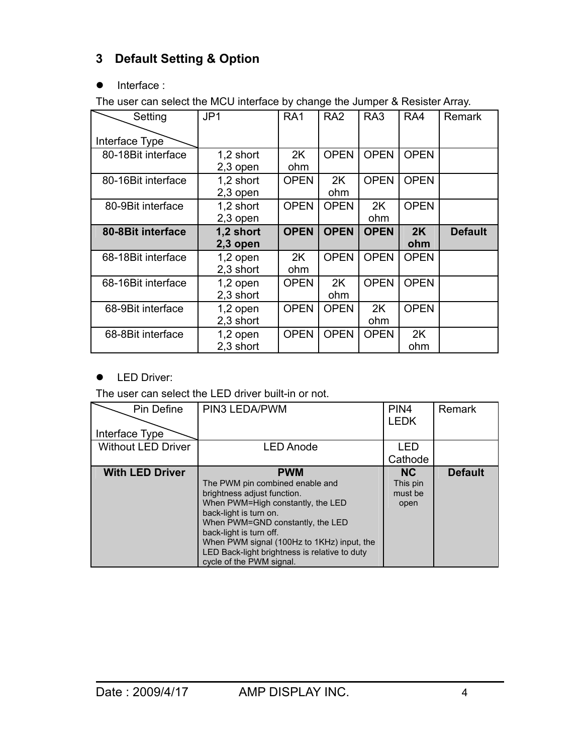# **3 Default Setting & Option**

## • Interface :

The user can select the MCU interface by change the Jumper & Resister Array.

| Setting            | JP1                     | RA <sub>1</sub> | RA <sub>2</sub> | RA <sub>3</sub> | RA4         | Remark         |
|--------------------|-------------------------|-----------------|-----------------|-----------------|-------------|----------------|
| Interface Type     |                         |                 |                 |                 |             |                |
| 80-18Bit interface | 1,2 short<br>$2,3$ open | 2K<br>ohm       | <b>OPEN</b>     | <b>OPEN</b>     | <b>OPEN</b> |                |
| 80-16Bit interface | 1,2 short<br>2,3 open   | <b>OPEN</b>     | 2K<br>ohm       | <b>OPEN</b>     | <b>OPEN</b> |                |
| 80-9Bit interface  | 1,2 short<br>$2,3$ open | <b>OPEN</b>     | <b>OPEN</b>     | 2K<br>ohm       | <b>OPEN</b> |                |
| 80-8Bit interface  | 1,2 short<br>2,3 open   | <b>OPEN</b>     | <b>OPEN</b>     | <b>OPEN</b>     | 2K<br>ohm   | <b>Default</b> |
| 68-18Bit interface | $1,2$ open<br>2,3 short | 2K<br>ohm       | <b>OPEN</b>     | <b>OPEN</b>     | <b>OPEN</b> |                |
| 68-16Bit interface | $1,2$ open<br>2,3 short | <b>OPEN</b>     | 2K<br>ohm       | <b>OPEN</b>     | <b>OPEN</b> |                |
| 68-9Bit interface  | $1,2$ open<br>2,3 short | <b>OPEN</b>     | <b>OPEN</b>     | 2K<br>ohm       | <b>OPEN</b> |                |
| 68-8Bit interface  | 1,2 open<br>2,3 short   | <b>OPEN</b>     | <b>OPEN</b>     | <b>OPEN</b>     | 2K<br>ohm   |                |

**•** LED Driver:

The user can select the LED driver built-in or not.

| Pin Define<br>Interface Type | PIN3 LEDA/PWM                                                                                                                                                                                                                                                                                                                         | PIN <sub>4</sub><br><b>LEDK</b>          | Remark         |
|------------------------------|---------------------------------------------------------------------------------------------------------------------------------------------------------------------------------------------------------------------------------------------------------------------------------------------------------------------------------------|------------------------------------------|----------------|
| <b>Without LED Driver</b>    | <b>LED Anode</b>                                                                                                                                                                                                                                                                                                                      | LED<br>Cathode                           |                |
| <b>With LED Driver</b>       | <b>PWM</b><br>The PWM pin combined enable and<br>brightness adjust function.<br>When PWM=High constantly, the LED<br>back-light is turn on.<br>When PWM=GND constantly, the LED<br>back-light is turn off.<br>When PWM signal (100Hz to 1KHz) input, the<br>LED Back-light brightness is relative to duty<br>cycle of the PWM signal. | <b>NC</b><br>This pin<br>must be<br>open | <b>Default</b> |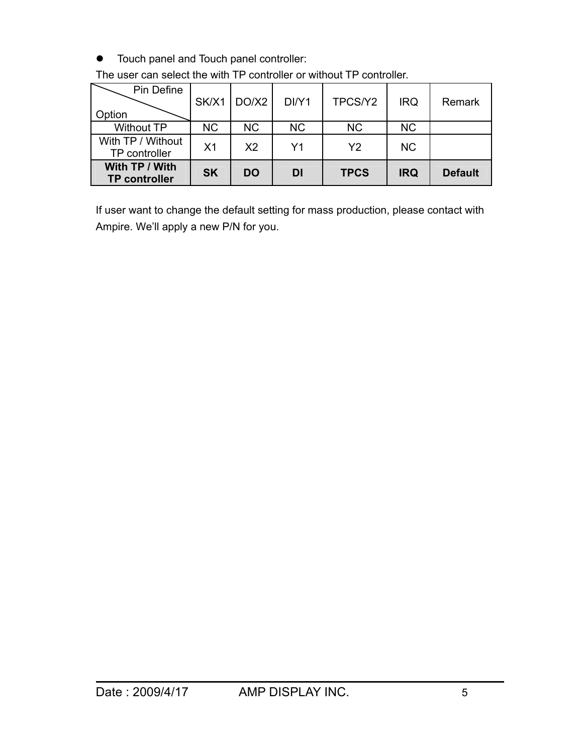$\bullet$  Touch panel and Touch panel controller:

| Pin Define                             | SK/X1          | DO/X2          | DI/Y1     | TPCS/Y2        | <b>IRQ</b> | Remark         |
|----------------------------------------|----------------|----------------|-----------|----------------|------------|----------------|
| Option                                 |                |                |           |                |            |                |
| <b>Without TP</b>                      | <b>NC</b>      | NC.            | <b>NC</b> | <b>NC</b>      | <b>NC</b>  |                |
| With TP / Without<br>TP controller     | X <sub>1</sub> | X <sub>2</sub> | Υ1        | Y <sub>2</sub> | <b>NC</b>  |                |
| With TP / With<br><b>TP controller</b> | <b>SK</b>      | DO             | DI        | <b>TPCS</b>    | <b>IRQ</b> | <b>Default</b> |

The user can select the with TP controller or without TP controller.

If user want to change the default setting for mass production, please contact with Ampire. We'll apply a new P/N for you.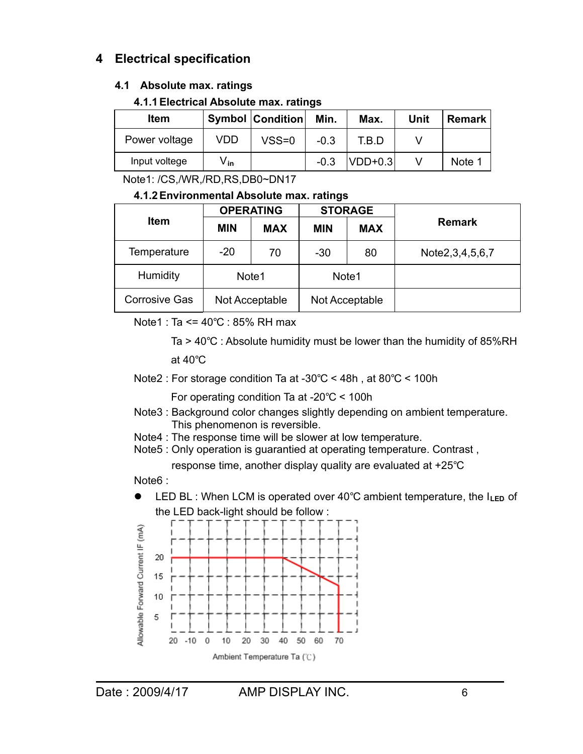# **4 Electrical specification**

### **4.1 Absolute max. ratings**

#### **4.1.1 Electrical Absolute max. ratings**

| Item          |                  | <b>Symbol Condition</b> | Min.   | Max.        | Unit | <b>Remark</b> |
|---------------|------------------|-------------------------|--------|-------------|------|---------------|
| Power voltage | VDD              | $VSS=0$                 | $-0.3$ | T.B.D       |      |               |
| Input voltege | V. <sub>in</sub> |                         | $-0.3$ | $ VDD+0.3 $ |      | Note 1        |

Note1: /CS,/WR,/RD,RS,DB0~DN17

#### **4.1.2 Environmental Absolute max. ratings**

|                      | <b>OPERATING</b> |            |                          | <b>STORAGE</b> |                 |  |
|----------------------|------------------|------------|--------------------------|----------------|-----------------|--|
| <b>Item</b>          | <b>MIN</b>       | <b>MAX</b> | <b>MAX</b><br><b>MIN</b> |                | <b>Remark</b>   |  |
| Temperature          | $-20$            | 70         | $-30$                    | 80             | Note2,3,4,5,6,7 |  |
| <b>Humidity</b>      | Note1            |            | Note1                    |                |                 |  |
| <b>Corrosive Gas</b> | Not Acceptable   |            | Not Acceptable           |                |                 |  |

Note1 : Ta  $\leq$  = 40°C : 85% RH max

Ta >  $40^{\circ}$ C : Absolute humidity must be lower than the humidity of 85%RH at  $40^{\circ}$ C

Note2 : For storage condition Ta at -30 $\degree$ C < 48h, at 80 $\degree$ C < 100h

For operating condition Ta at -20 $\degree$ C < 100h

- Note3 : Background color changes slightly depending on ambient temperature. This phenomenon is reversible.
- Note4 : The response time will be slower at low temperature.

Note5 : Only operation is guarantied at operating temperature. Contrast ,

response time, another display quality are evaluated at  $+25^{\circ}$ C

#### Note<sub>6</sub> ·

**EXA** LED BL: When LCM is operated over 40°C ambient temperature, the I<sub>LED</sub> of the LED back-light should be follow :

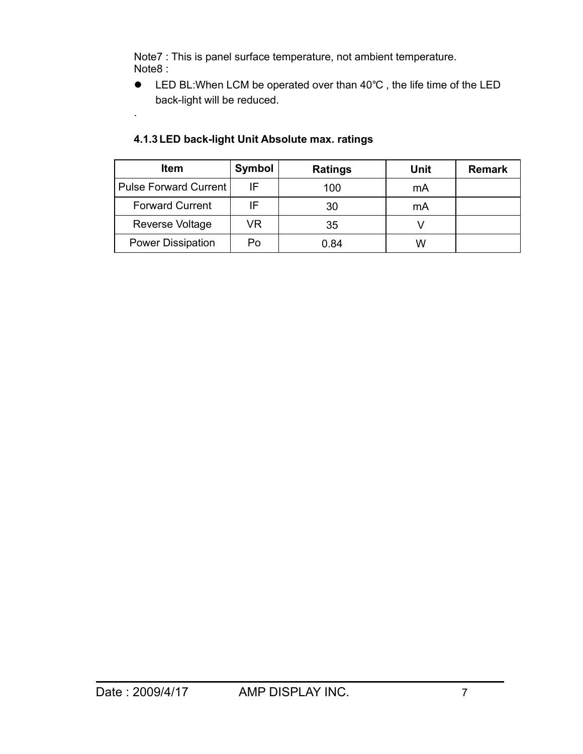Note7 : This is panel surface temperature, not ambient temperature. Note8 :

• LED BL: When LCM be operated over than 40°C, the life time of the LED back-light will be reduced.

| <b>Item</b>              | Symbol | <b>Ratings</b> | <b>Unit</b> | <b>Remark</b> |
|--------------------------|--------|----------------|-------------|---------------|
| Pulse Forward Current    | IF     | 100            | mA          |               |
| <b>Forward Current</b>   | IF     | 30             | mA          |               |
| Reverse Voltage          | VR     | 35             |             |               |
| <b>Power Dissipation</b> | Po     | 0.84           | W           |               |

### **4.1.3 LED back-light Unit Absolute max. ratings**

.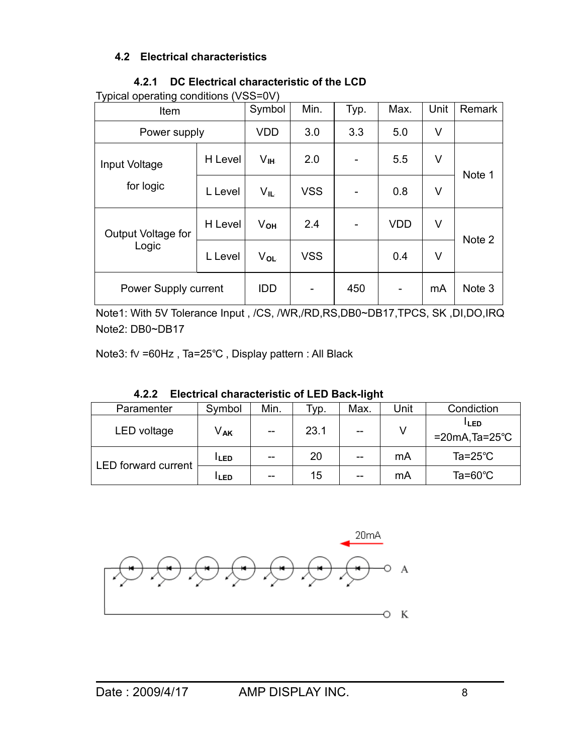## **4.2 Electrical characteristics**

| Typical operating conditions (VSS=0V) |         |                 |            |      |            |      |                   |
|---------------------------------------|---------|-----------------|------------|------|------------|------|-------------------|
| Item                                  |         | Symbol          | Min.       | Typ. | Max.       | Unit | Remark            |
| Power supply                          |         | <b>VDD</b>      | 3.0        | 3.3  | 5.0        | V    |                   |
| Input Voltage<br>for logic            | H Level | $V_{\rm IH}$    | 2.0        |      | 5.5        | V    | Note 1            |
|                                       | L Level | Vıl             | <b>VSS</b> |      | 0.8        | V    |                   |
| Output Voltage for<br>Logic           | H Level | V <sub>OH</sub> | 2.4        |      | <b>VDD</b> | V    | Note 2            |
|                                       | L Level | $V_{OL}$        | <b>VSS</b> |      | 0.4        | V    |                   |
| Power Supply current                  |         | <b>IDD</b>      |            | 450  |            | mA   | Note <sub>3</sub> |

#### **4.2.1 DC Electrical characteristic of the LCD**

Typical operating conditions (VSS=0V)

Note1: With 5V Tolerance Input , /CS, /WR,/RD,RS,DB0~DB17,TPCS, SK ,DI,DO,IRQ Note2: DB0~DB17

Note3: fv =60Hz, Ta=25°C, Display pattern : All Black

| -----                      | LIVOLIIVAI VIIAIUVLVIIVUV VI LLD DAVIL IIJIIL |      |      |      |      |                                      |
|----------------------------|-----------------------------------------------|------|------|------|------|--------------------------------------|
| Paramenter                 | Symbol                                        | Min. | ™ур. | Max. | Unit | Condiction                           |
| LED voltage                | V. <sub>AK</sub>                              | $-$  | 23.1 | $-$  |      | LLED.<br>$=20mA$ , Ta= $25^{\circ}C$ |
|                            | LLED.                                         |      | 20   | $-$  | mA   | Ta= $25^{\circ}$ C                   |
| <b>LED</b> forward current | <sup>I.</sup> LED.                            | --   | 15   | $-$  | mA   | Ta= $60^{\circ}$ C                   |

**4.2.2 Electrical characteristic of LED Back-light**

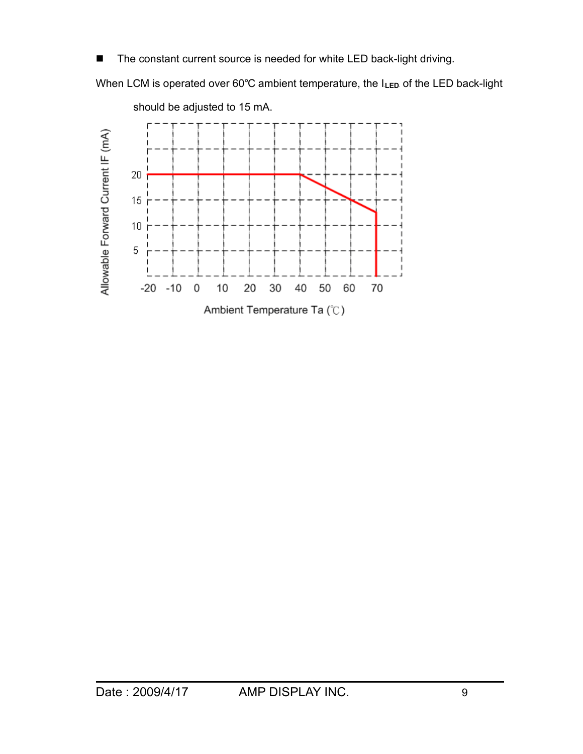■ The constant current source is needed for white LED back-light driving.

When LCM is operated over 60°C ambient temperature, the I<sub>LED</sub> of the LED back-light



should be adjusted to 15 mA.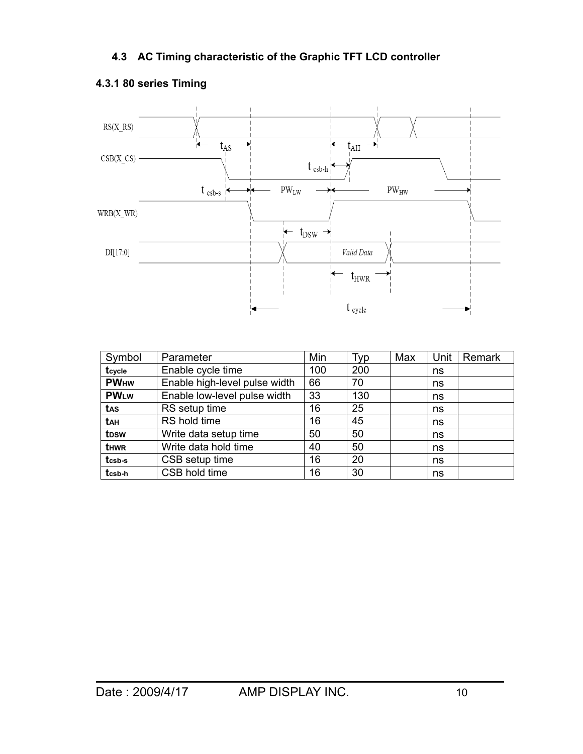

## **4.3.1 80 series Timing**

| Symbol            | Parameter                     | Min | Typ | Max | Unit | Remark |
|-------------------|-------------------------------|-----|-----|-----|------|--------|
| tcycle            | Enable cycle time             | 100 | 200 |     | ns   |        |
| <b>PWHW</b>       | Enable high-level pulse width | 66  | 70  |     | ns   |        |
| <b>PWLW</b>       | Enable low-level pulse width  | 33  | 130 |     | ns   |        |
| tas               | RS setup time                 | 16  | 25  |     | ns   |        |
| <b>t</b> ан       | RS hold time                  | 16  | 45  |     | ns   |        |
| t <sub>D</sub> sw | Write data setup time         | 50  | 50  |     | ns   |        |
| <b>t</b> HWR      | Write data hold time          | 40  | 50  |     | ns   |        |
| tcsb-s            | CSB setup time                | 16  | 20  |     | ns   |        |
| tcsb-h            | CSB hold time                 | 16  | 30  |     | ns   |        |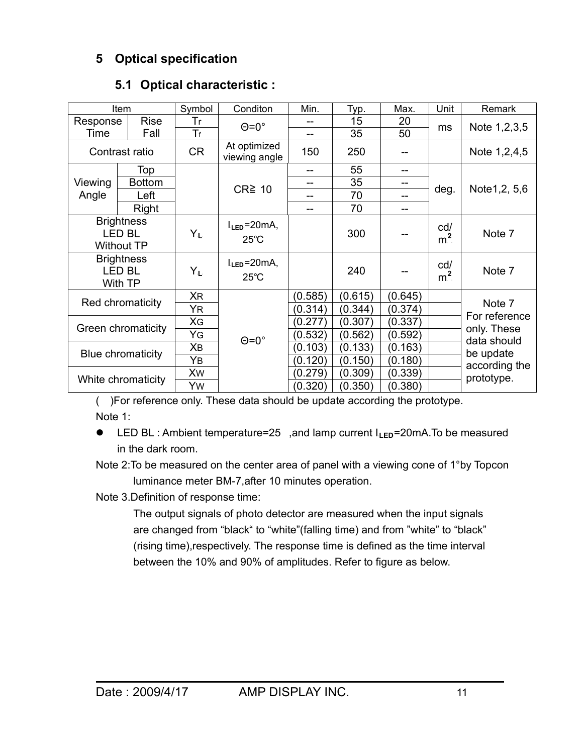# **5 Optical specification**

|          | Item                                          | Symbol         | Conditon                            | Min.    | Typ.    | Max.    | Unit                  | Remark                     |
|----------|-----------------------------------------------|----------------|-------------------------------------|---------|---------|---------|-----------------------|----------------------------|
| Response | <b>Rise</b>                                   | Tr             | $\Theta = 0^\circ$                  |         | 15      | 20      |                       |                            |
| Time     | Fall<br>Tr<br><b>CR</b><br>Contrast ratio     |                |                                     | --      | 35      | 50      | ms                    | Note 1,2,3,5               |
|          |                                               |                | At optimized<br>viewing angle       | 150     | 250     |         |                       | Note 1,2,4,5               |
|          | Top                                           |                |                                     |         | 55      |         |                       |                            |
| Viewing  | <b>Bottom</b>                                 |                | $CR \geq 10$                        |         | 35      |         |                       |                            |
| Angle    | Left                                          |                |                                     | --      | 70      |         | deg.                  | Note 1, 2, 5, 6            |
|          | Right<br><b>Brightness</b>                    |                |                                     | --      | 70      |         |                       |                            |
|          | <b>LED BL</b><br><b>Without TP</b>            | Y <sub>L</sub> | $l_{LED} = 20mA,$<br>$25^{\circ}$ C |         | 300     |         | cd/<br>m <sup>2</sup> | Note 7                     |
|          | <b>Brightness</b><br><b>LED BL</b><br>With TP | $Y_L$          | $l_{LED} = 20mA,$<br>$25^{\circ}$ C |         | 240     |         | cd/<br>m <sup>2</sup> | Note 7                     |
|          |                                               | <b>XR</b>      |                                     | (0.585) | (0.615) | (0.645) |                       |                            |
|          | Red chromaticity                              | ΥR             |                                     | (0.314) | (0.344) | (0.374) |                       | Note 7                     |
|          |                                               | XG             |                                     | (0.277) | (0.307) | (0.337) |                       | For reference              |
|          | Green chromaticity<br>YG                      |                | $\Theta = 0^\circ$                  | (0.532) | (0.562) | (0.592) |                       | only. These<br>data should |
|          | Χв                                            |                |                                     | (0.103) | (0.133) | (0.163) |                       | be update                  |
|          | Blue chromaticity<br>Yв                       |                |                                     | (0.120) | (0.150) | (0.180) |                       | according the              |
|          | Xw<br>White chromaticity                      |                |                                     | (0.279) | (0.309) | (0.339) |                       | prototype.                 |
|          |                                               | Yw             |                                     | (0.320) | (0.350) | (0.380) |                       |                            |

# **5.1 Optical characteristic :**

( )For reference only. These data should be update according the prototype. Note 1:

- LED BL : Ambient temperature=25, and lamp current I<sub>LED</sub>=20mA.To be measured in the dark room.
- Note 2:To be measured on the center area of panel with a viewing cone of 1°by Topcon luminance meter BM-7,after 10 minutes operation.

Note 3.Definition of response time:

 The output signals of photo detector are measured when the input signals are changed from "black" to "white"(falling time) and from "white" to "black" (rising time),respectively. The response time is defined as the time interval between the 10% and 90% of amplitudes. Refer to figure as below.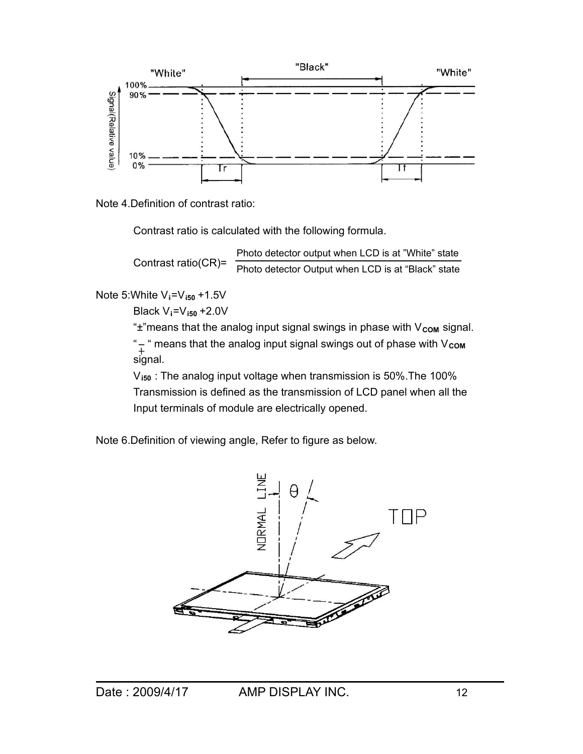

Note 4.Definition of contrast ratio:

Contrast ratio is calculated with the following formula.

 Contrast ratio(CR)= Photo detector output when LCD is at "White" state Photo detector Output when LCD is at "Black" state

Note 5: White V<sub>i</sub>=V<sub>i50</sub> + 1.5V

 $Black V_i = V_{i50} + 2.0V$ 

"±"means that the analog input signal swings in phase with V<sub>com</sub> signal. "- " means that the analog input signal swings out of phase with V<sub>com</sub> signal.

V<sub>i50</sub>: The analog input voltage when transmission is 50%.The 100% Transmission is defined as the transmission of LCD panel when all the Input terminals of module are electrically opened.

Note 6.Definition of viewing angle, Refer to figure as below.

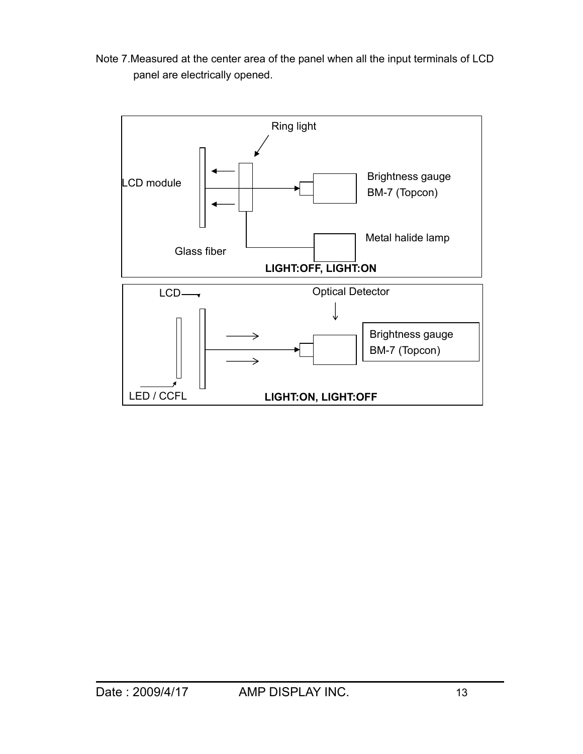Note 7.Measured at the center area of the panel when all the input terminals of LCD panel are electrically opened.

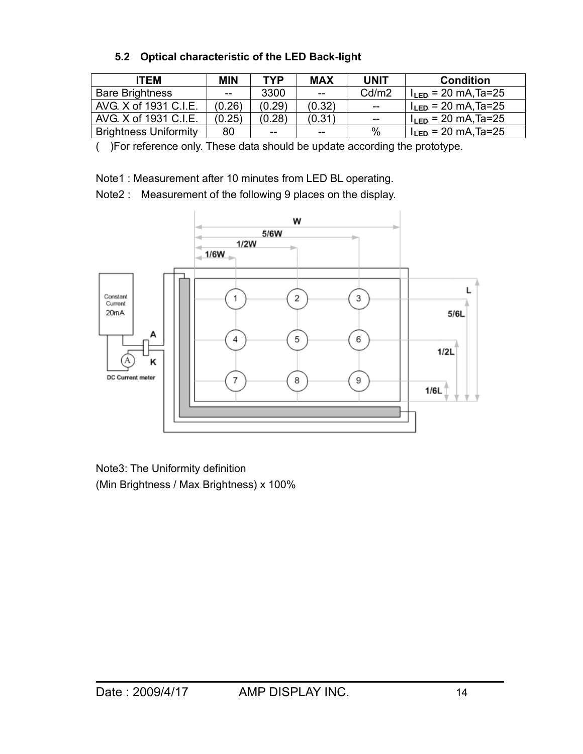# **5.2 Optical characteristic of the LED Back-light**

| <b>ITEM</b>                  | <b>MIN</b> | TYP    | <b>MAX</b>     | <b>UNIT</b> | <b>Condition</b>         |
|------------------------------|------------|--------|----------------|-------------|--------------------------|
| <b>Bare Brightness</b>       | $-$        | 3300   | $\overline{a}$ | Cd/m2       | $I_{LED}$ = 20 mA, Ta=25 |
| AVG, X of 1931 C.I.E.        | (0.26)     | (0.29) | (0.32)         | $-$         | $I_{LED}$ = 20 mA, Ta=25 |
| AVG. X of 1931 C.I.E.        | (0.25)     | (0.28) | (0.31)         | $ -$        | $I_{LED}$ = 20 mA, Ta=25 |
| <b>Brightness Uniformity</b> | 80         | $-$    | $- -$          | $\%$        | $I_{LED}$ = 20 mA, Ta=25 |

( )For reference only. These data should be update according the prototype.

Note1 : Measurement after 10 minutes from LED BL operating.

Note2 : Measurement of the following 9 places on the display.



Note3: The Uniformity definition (Min Brightness / Max Brightness) x 100%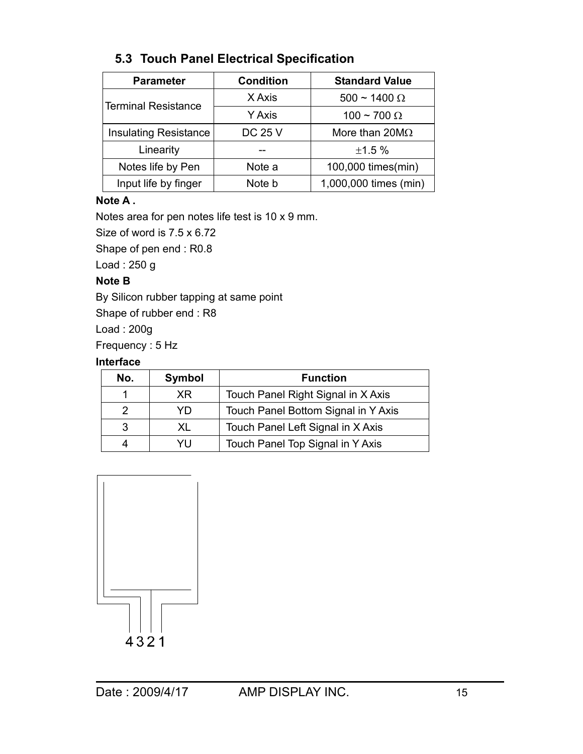| <b>Parameter</b>             | <b>Condition</b> | <b>Standard Value</b>  |
|------------------------------|------------------|------------------------|
| <b>Terminal Resistance</b>   | X Axis           | $500 \sim 1400 \Omega$ |
|                              | <b>Y</b> Axis    | 100 ~ 700 $\Omega$     |
| <b>Insulating Resistance</b> | <b>DC 25 V</b>   | More than $20M\Omega$  |
| Linearity                    |                  | ±1.5%                  |
| Notes life by Pen            | Note a           | 100,000 times(min)     |
| Input life by finger         | Note b           | 1,000,000 times (min)  |

# **5.3 Touch Panel Electrical Specification**

## **Note A .**

Notes area for pen notes life test is 10 x 9 mm.

Size of word is 7.5 x 6.72

Shape of pen end : R0.8

Load : 250 g

## **Note B**

By Silicon rubber tapping at same point

Shape of rubber end : R8

Load : 200g

Frequency : 5 Hz

## **Interface**

| No. | Symbol | <b>Function</b>                     |
|-----|--------|-------------------------------------|
|     | XR.    | Touch Panel Right Signal in X Axis  |
| 2   | YŊ     | Touch Panel Bottom Signal in Y Axis |
|     | XL     | Touch Panel Left Signal in X Axis   |
| Δ   | YH     | Touch Panel Top Signal in Y Axis    |

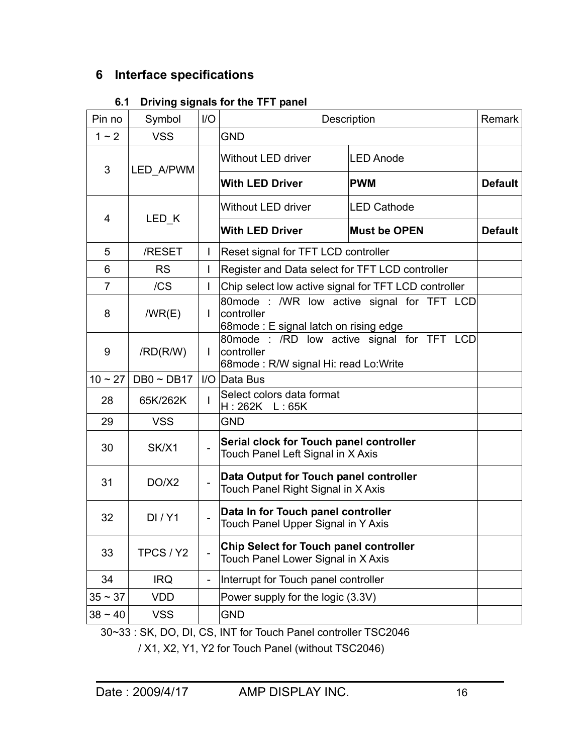# **6 Interface specifications**

| 6.1 Driving signals for the TFT panel |  |  |
|---------------------------------------|--|--|
|                                       |  |  |

| Pin no         | Symbol            | 1/O          |                                                                              | Description                               | Remark         |
|----------------|-------------------|--------------|------------------------------------------------------------------------------|-------------------------------------------|----------------|
| $1 - 2$        | <b>VSS</b>        |              | <b>GND</b>                                                                   |                                           |                |
| 3              | LED A/PWM         |              | Without LED driver                                                           | <b>LED Anode</b>                          |                |
|                |                   |              | <b>With LED Driver</b>                                                       | <b>PWM</b>                                | <b>Default</b> |
| 4              | LED <sub>K</sub>  |              | Without LED driver                                                           | <b>LED Cathode</b>                        |                |
|                |                   |              | <b>With LED Driver</b>                                                       | <b>Must be OPEN</b>                       | <b>Default</b> |
| 5              | /RESET            |              | Reset signal for TFT LCD controller                                          |                                           |                |
| 6              | <b>RS</b>         | $\mathbf{I}$ | Register and Data select for TFT LCD controller                              |                                           |                |
| $\overline{7}$ | /CS               | L            | Chip select low active signal for TFT LCD controller                         |                                           |                |
| 8              | /WR(E)            | L            | controller<br>68mode: E signal latch on rising edge                          | 80mode: /WR low active signal for TFT LCD |                |
| 9              | /RD(R/W)          |              | controller<br>68mode: R/W signal Hi: read Lo: Write                          | 80mode: /RD low active signal for TFT LCD |                |
| $10 - 27$      | $DB0 \sim DB17$   |              | I/O Data Bus                                                                 |                                           |                |
| 28             | 65K/262K          |              | Select colors data format<br>H: 262K L: 65K                                  |                                           |                |
| 29             | <b>VSS</b>        |              | <b>GND</b>                                                                   |                                           |                |
| 30             | SK/X1             |              | Serial clock for Touch panel controller<br>Touch Panel Left Signal in X Axis |                                           |                |
| 31             | DO/X <sub>2</sub> |              | Data Output for Touch panel controller<br>Touch Panel Right Signal in X Axis |                                           |                |
| 32             | DI/Y1             |              | Data In for Touch panel controller<br>Touch Panel Upper Signal in Y Axis     |                                           |                |
| 33             | TPCS / Y2         |              | Chip Select for Touch panel controller<br>Touch Panel Lower Signal in X Axis |                                           |                |
| 34             | <b>IRQ</b>        |              | Interrupt for Touch panel controller                                         |                                           |                |
| $35 \sim 37$   | <b>VDD</b>        |              | Power supply for the logic (3.3V)                                            |                                           |                |
| $38 - 40$      | <b>VSS</b>        |              | <b>GND</b>                                                                   |                                           |                |

30~33 : SK, DO, DI, CS, INT for Touch Panel controller TSC2046

/ X1, X2, Y1, Y2 for Touch Panel (without TSC2046)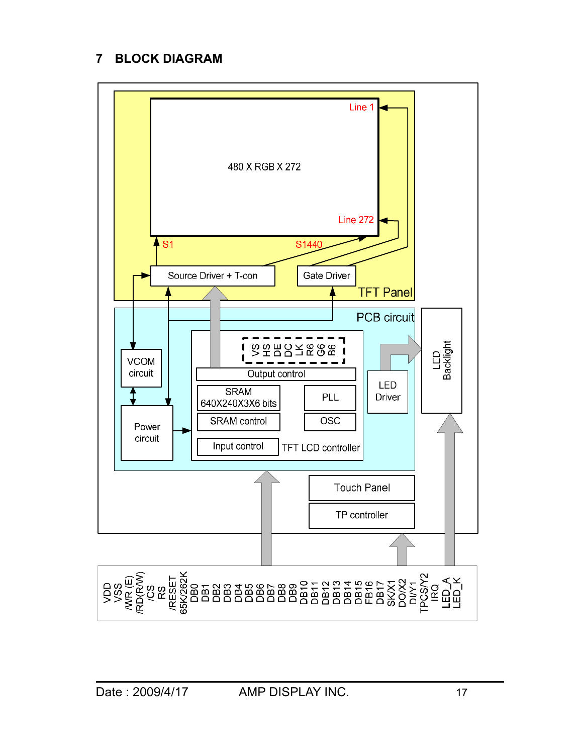# **7 BLOCK DIAGRAM**

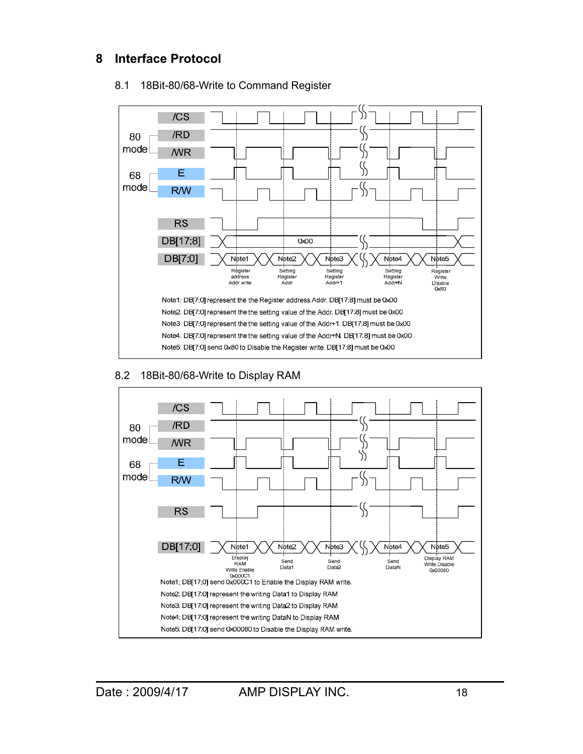# **8 Interface Protocol**



#### 8.1 18Bit-80/68-Write to Command Register

#### 8.2 18Bit-80/68-Write to Display RAM

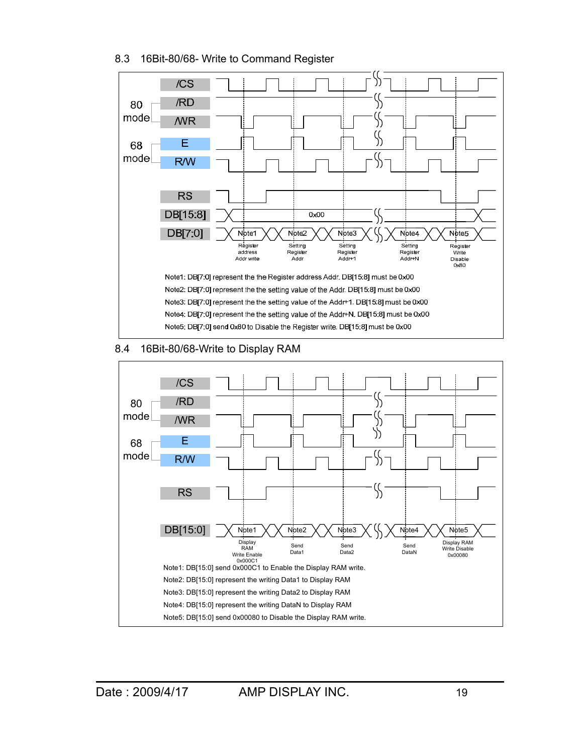#### 8.3 16Bit-80/68- Write to Command Register



### 8.4 16Bit-80/68-Write to Display RAM

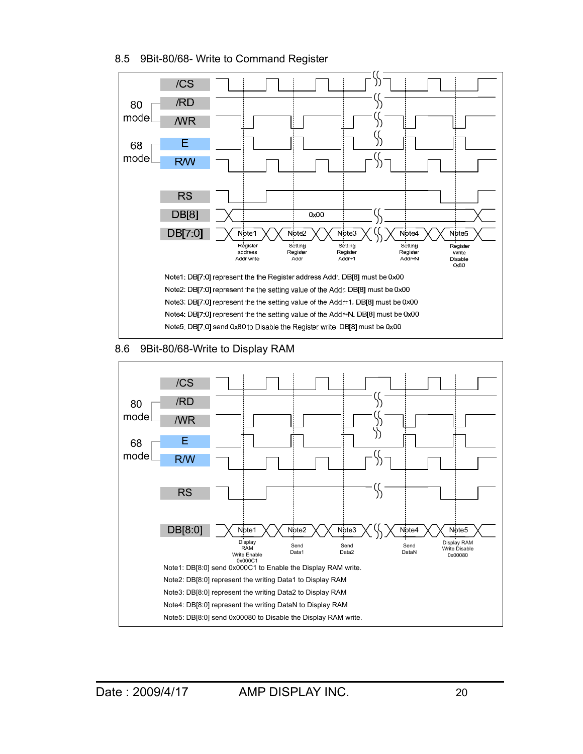#### 8.5 9Bit-80/68- Write to Command Register



#### 8.6 9Bit-80/68-Write to Display RAM

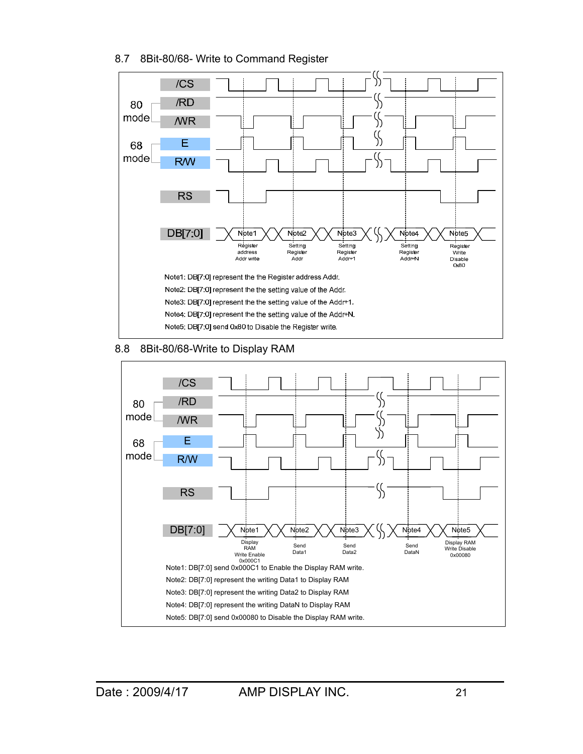#### 8.7 8Bit-80/68- Write to Command Register



#### 8.8 8Bit-80/68-Write to Display RAM

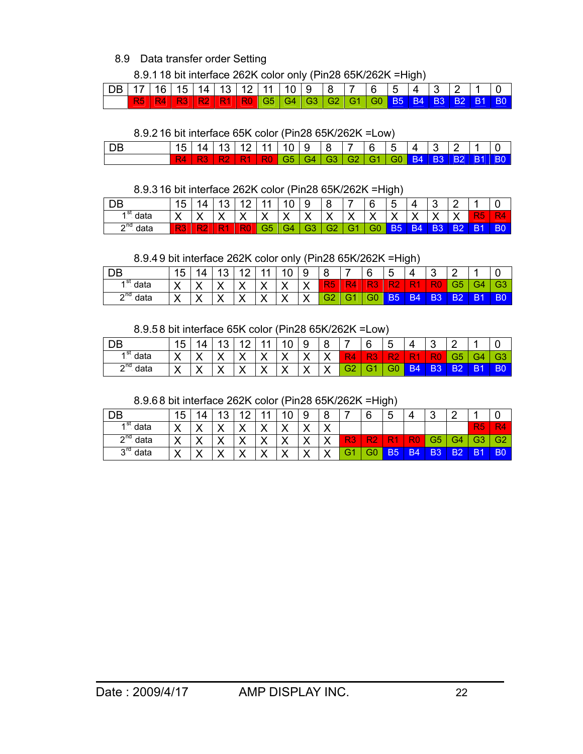### 8.9 Data transfer order Setting

8.9.1 18 bit interface 262K color only (Pin28 65K/262K =High)

| DB 17 16 15 14 13 12 11 10 9 8 7 6 5 4 3 2 1 0 |                                                                                            |  |  |  |  |  |  |  |  |
|------------------------------------------------|--------------------------------------------------------------------------------------------|--|--|--|--|--|--|--|--|
|                                                | \R5   R4   R3   R2   R1   R0   G5   G4   G3   G2   G1   G0   B5   B4   B3   B2   B1   B0 \ |  |  |  |  |  |  |  |  |

8.9.2 16 bit interface 65K color (Pin28 65K/262K =Low)

| $\overline{\phantom{a}}$ DB | $1.15$ 14 13 12 11 10 9 8 7 6 5 4 3 2 1 0 |                                                                               |  |  |  |  |  |  |  |
|-----------------------------|-------------------------------------------|-------------------------------------------------------------------------------|--|--|--|--|--|--|--|
|                             |                                           | R4   R3   R2   R1   R0   G5   G4   G3   G2   G1   G0   B4   B3   B2   B1   B0 |  |  |  |  |  |  |  |

#### 8.9.3 16 bit interface 262K color (Pin28 65K/262K =High)

|               |              |        |                |            |              |    |    |    |    |                | __             |           |     |     |           |                |
|---------------|--------------|--------|----------------|------------|--------------|----|----|----|----|----------------|----------------|-----------|-----|-----|-----------|----------------|
| DB            | 15           | 1 4    | $\overline{A}$ | $\sqrt{2}$ | 44           | 10 | ч  |    |    | ี              |                |           | ⌒   |     |           |                |
| ۰SL<br>data   | $\checkmark$ |        |                | v          | $\checkmark$ |    |    |    |    |                |                |           |     |     |           |                |
| $2^{nd}$ data | R3           | $\sim$ |                |            | G5           | G4 | G3 | G2 | G1 | G <sub>0</sub> | B <sub>5</sub> | <b>B4</b> | B3. | .B2 | <b>B1</b> | B <sub>0</sub> |

8.9.4 9 bit interface 262K color only (Pin28 65K/262K =High)

|               |                    |    |    |    |    |     | . . |                |                |    |        | ີ  |                |           |                |     |
|---------------|--------------------|----|----|----|----|-----|-----|----------------|----------------|----|--------|----|----------------|-----------|----------------|-----|
| DB            | 15                 | 14 | 13 | 10 | 44 | י ט | a   | Я              |                | 6  | -<br>ა | 4  | ົ              | $\sim$    |                |     |
| ⊿ St<br>data  | $\checkmark$<br>↗  |    |    |    |    |     |     | R <sub>5</sub> |                | w  |        |    | ×ч             | - 3       | G4             | CЗ  |
| $2^{nd}$ data | $\checkmark$<br>,, |    |    |    |    |     |     | G <sub>2</sub> | G <sub>1</sub> | G0 | B5     | B4 | B <sub>3</sub> | <b>B2</b> | B <sub>1</sub> | IB0 |

8.9.5 8 bit interface 65K color (Pin28 65K/262K =Low)

| $ $ DB                          | 15           | ۱Δ                   | Ι3           | $\Lambda$ | 11 | 10           | 9 | 8 | ⇁              | 6   | 5   |           |    |           |                |                |
|---------------------------------|--------------|----------------------|--------------|-----------|----|--------------|---|---|----------------|-----|-----|-----------|----|-----------|----------------|----------------|
| ຳວເ<br>data                     | $\checkmark$ |                      | $\checkmark$ |           |    | $\checkmark$ |   |   |                |     |     |           | w  |           | £4             | œ              |
| $\sim$ nd<br>data<br>$\epsilon$ |              | $\ddot{\phantom{1}}$ |              |           |    |              |   |   | G <sub>2</sub> | 7GZ | 150 | <b>B4</b> | B3 | <b>B2</b> | B <sub>1</sub> | B <sub>0</sub> |

8.9.6 8 bit interface 262K color (Pin28 65K/262K =High)

|                        |                           |                      |                      |            |    |              |                      |              |        |    | -         |           |                |                |                |           |
|------------------------|---------------------------|----------------------|----------------------|------------|----|--------------|----------------------|--------------|--------|----|-----------|-----------|----------------|----------------|----------------|-----------|
| DB                     | 15                        | 14                   | ີ<br>J               | $\sqrt{2}$ | 44 | -<br>$\cdot$ | 9                    | 8            |        | 6  | -<br>b    | 4         | ◡              | ◠              |                | ບ         |
| st<br>data             | v<br>$\lambda$            | ,,                   | v<br>↗               |            |    | $\cdot$      |                      | v            |        |    |           |           |                |                | R <sub>5</sub> | <b>R4</b> |
| n <sub>0</sub><br>data | v<br>$\lambda$            | ,,                   |                      | ,,         |    |              |                      |              | $\sim$ |    |           | ÷         | ÆF             | G.             | G3             | G2        |
| $3^{rd}$<br>data       | $\checkmark$<br>$\lambda$ | $\ddot{\phantom{1}}$ | $\ddot{\phantom{1}}$ |            |    |              | $\ddot{\phantom{1}}$ | $\mathbf{v}$ |        | 30 | <b>B5</b> | <b>B4</b> | B <sub>3</sub> | B <sub>2</sub> | B <sub>1</sub> | 'B0       |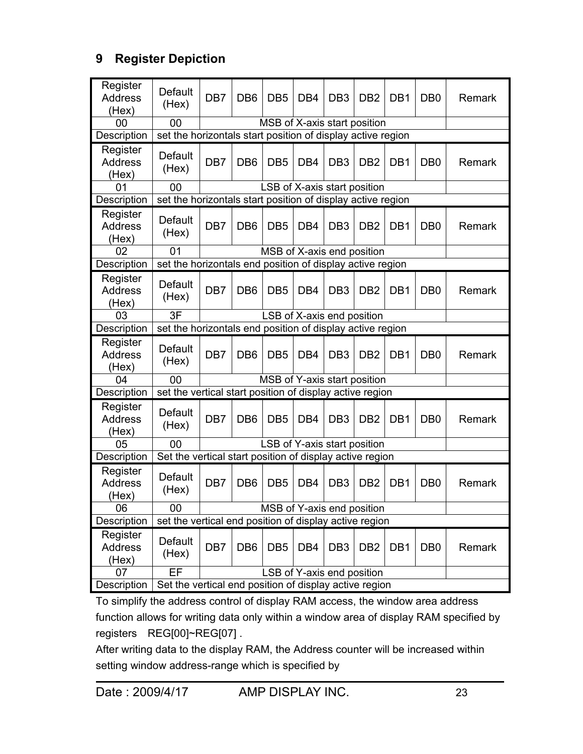# **9 Register Depiction**

| Register<br><b>Address</b><br>(Hex) | Default<br>(Hex)                                                                     | DB <sub>7</sub>                                             | DB <sub>6</sub> | DB <sub>5</sub>              | DB <sub>4</sub> | DB <sub>3</sub> | D <sub>B2</sub> | DB <sub>1</sub> | D <sub>B</sub> 0 | Remark |  |
|-------------------------------------|--------------------------------------------------------------------------------------|-------------------------------------------------------------|-----------------|------------------------------|-----------------|-----------------|-----------------|-----------------|------------------|--------|--|
| 00                                  | 00                                                                                   |                                                             |                 | MSB of X-axis start position |                 |                 |                 |                 |                  |        |  |
| Description                         | set the horizontals start position of display active region                          |                                                             |                 |                              |                 |                 |                 |                 |                  |        |  |
| Register<br><b>Address</b><br>(Hex) | <b>Default</b><br>(Hex)                                                              | DB7                                                         | D <sub>B6</sub> | DB <sub>5</sub>              | DB <sub>4</sub> | DB <sub>3</sub> | D <sub>B2</sub> | DB <sub>1</sub> | D <sub>B</sub> 0 | Remark |  |
| 01                                  | 00                                                                                   |                                                             |                 | LSB of X-axis start position |                 |                 |                 |                 |                  |        |  |
| Description                         |                                                                                      | set the horizontals start position of display active region |                 |                              |                 |                 |                 |                 |                  |        |  |
| Register<br><b>Address</b><br>(Hex) | Default<br>(Hex)                                                                     | DB7                                                         | DB <sub>6</sub> | DB <sub>5</sub>              | DB <sub>4</sub> | DB <sub>3</sub> | D <sub>B2</sub> | DB <sub>1</sub> | D <sub>B</sub> 0 | Remark |  |
| 02                                  | 01                                                                                   |                                                             |                 | MSB of X-axis end position   |                 |                 |                 |                 |                  |        |  |
| Description                         | set the horizontals end position of display active region                            |                                                             |                 |                              |                 |                 |                 |                 |                  |        |  |
| Register<br><b>Address</b><br>(Hex) | <b>Default</b><br>(Hex)                                                              | DB <sub>7</sub>                                             | DB <sub>6</sub> | DB <sub>5</sub>              | DB <sub>4</sub> | DB <sub>3</sub> | D <sub>B2</sub> | DB <sub>1</sub> | D <sub>B</sub> 0 | Remark |  |
| 03                                  | 3F                                                                                   |                                                             |                 | LSB of X-axis end position   |                 |                 |                 |                 |                  |        |  |
| Description                         | set the horizontals end position of display active region                            |                                                             |                 |                              |                 |                 |                 |                 |                  |        |  |
| Register<br><b>Address</b><br>(Hex) | <b>Default</b><br>(Hex)                                                              | DB7                                                         | DB <sub>6</sub> | DB <sub>5</sub>              | DB <sub>4</sub> | DB <sub>3</sub> | DB <sub>2</sub> | DB <sub>1</sub> | D <sub>B</sub> 0 | Remark |  |
| 04                                  | 00                                                                                   |                                                             |                 | MSB of Y-axis start position |                 |                 |                 |                 |                  |        |  |
| Description                         | set the vertical start position of display active region                             |                                                             |                 |                              |                 |                 |                 |                 |                  |        |  |
| Register<br><b>Address</b><br>(Hex) | Default<br>(Hex)                                                                     | DB7                                                         | DB <sub>6</sub> | DB <sub>5</sub>              | DB <sub>4</sub> | DB <sub>3</sub> | D <sub>B2</sub> | DB <sub>1</sub> | D <sub>B</sub> 0 | Remark |  |
| 05                                  | 00                                                                                   |                                                             |                 | LSB of Y-axis start position |                 |                 |                 |                 |                  |        |  |
| Description                         | Set the vertical start position of display active region                             |                                                             |                 |                              |                 |                 |                 |                 |                  |        |  |
| Register<br><b>Address</b><br>(Hex) | <b>Default</b><br>(Hex)                                                              | DB <sub>7</sub>                                             | DB <sub>6</sub> | DB <sub>5</sub>              | DB <sub>4</sub> | DB <sub>3</sub> | DB <sub>2</sub> | DB <sub>1</sub> | D <sub>B</sub> 0 | Remark |  |
| 06                                  | 00                                                                                   |                                                             |                 | MSB of Y-axis end position   |                 |                 |                 |                 |                  |        |  |
| Description                         | set the vertical end position of display active region                               |                                                             |                 |                              |                 |                 |                 |                 |                  |        |  |
| Register<br><b>Address</b><br>(Hex) | Default<br>(Hex)                                                                     | DB <sub>7</sub>                                             | DB <sub>6</sub> | DB <sub>5</sub>              | DB4             | DB <sub>3</sub> | DB <sub>2</sub> | DB <sub>1</sub> | D <sub>B</sub> 0 | Remark |  |
| 07                                  | EF                                                                                   |                                                             |                 |                              |                 |                 |                 |                 |                  |        |  |
| Description                         | LSB of Y-axis end position<br>Set the vertical end position of display active region |                                                             |                 |                              |                 |                 |                 |                 |                  |        |  |

To simplify the address control of display RAM access, the window area address function allows for writing data only within a window area of display RAM specified by registers REG[00]~REG[07] .

After writing data to the display RAM, the Address counter will be increased within setting window address-range which is specified by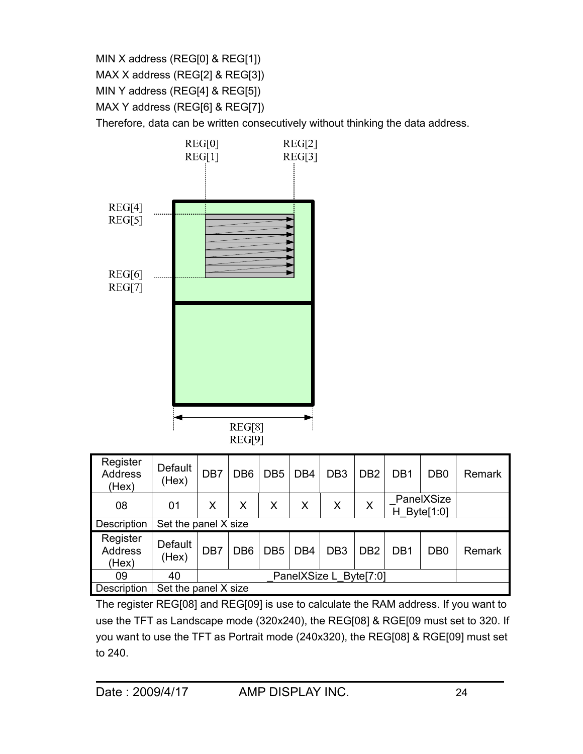MIN X address (REG[0] & REG[1])

MAX X address (REG[2] & REG[3])

MIN Y address (REG[4] & REG[5])

MAX Y address (REG[6] & REG[7])

Therefore, data can be written consecutively without thinking the data address.



| Register<br><b>Address</b><br>(Hex) | Default<br>(Hex)     | DB7 | DB <sub>6</sub> | DB <sub>5</sub> | DB <sub>4</sub> | DB <sub>3</sub>        | D <sub>B2</sub> | DB <sub>1</sub> | D <sub>B</sub> 0        | Remark |
|-------------------------------------|----------------------|-----|-----------------|-----------------|-----------------|------------------------|-----------------|-----------------|-------------------------|--------|
| 08                                  | 01                   | X   | X               | X               | X               | $\sf X$                | X               | н               | PanelXSize<br>Byte[1:0] |        |
| Description                         | Set the panel X size |     |                 |                 |                 |                        |                 |                 |                         |        |
| Register<br>Address<br>(Hex)        | Default<br>(Hex)     | DB7 | DB <sub>6</sub> | DB <sub>5</sub> | DB <sub>4</sub> | DB <sub>3</sub>        | D <sub>B2</sub> | DB <sub>1</sub> | D <sub>B</sub> 0        | Remark |
| 09                                  | 40                   |     |                 |                 |                 | PanelXSize L Byte[7:0] |                 |                 |                         |        |
| Description                         | Set the panel X size |     |                 |                 |                 |                        |                 |                 |                         |        |

The register REG[08] and REG[09] is use to calculate the RAM address. If you want to use the TFT as Landscape mode (320x240), the REG[08] & RGE[09 must set to 320. If you want to use the TFT as Portrait mode (240x320), the REG[08] & RGE[09] must set to 240.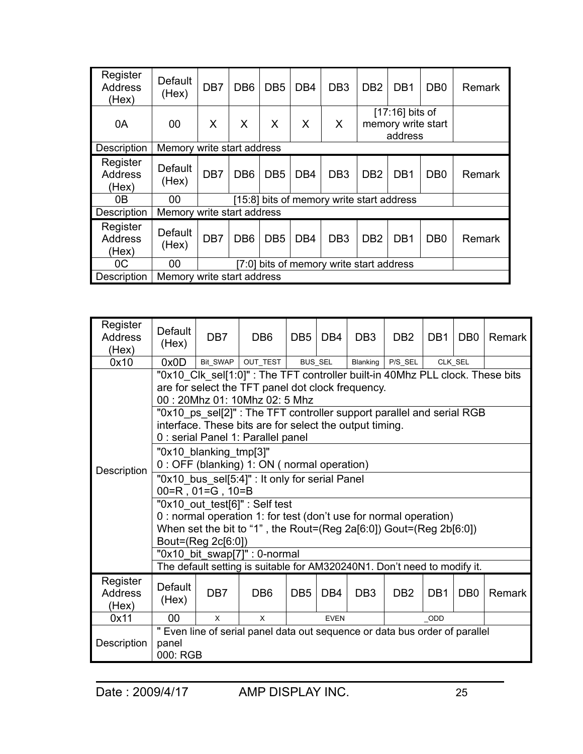| Register<br><b>Address</b><br>(Hex) | Default<br>(Hex)           | DB <sub>7</sub>                          | DB <sub>6</sub> | DB <sub>5</sub> | DB <sub>4</sub> | DB <sub>3</sub>                           | D <sub>B2</sub> | DB <sub>1</sub>                                    | D <sub>B</sub> 0 | Remark |
|-------------------------------------|----------------------------|------------------------------------------|-----------------|-----------------|-----------------|-------------------------------------------|-----------------|----------------------------------------------------|------------------|--------|
| 0A                                  | $00\,$                     | X                                        | $\mathsf{X}$    | X               | X               | X                                         |                 | $[17:16]$ bits of<br>memory write start<br>address |                  |        |
| Description                         | Memory write start address |                                          |                 |                 |                 |                                           |                 |                                                    |                  |        |
| Register<br><b>Address</b><br>(Hex) | Default<br>(Hex)           | DB <sub>7</sub>                          | D <sub>B6</sub> | DB <sub>5</sub> | DB <sub>4</sub> | DB <sub>3</sub>                           | D <sub>B2</sub> | DB <sub>1</sub>                                    | DB <sub>0</sub>  | Remark |
| 0B                                  | 00                         |                                          |                 |                 |                 | [15:8] bits of memory write start address |                 |                                                    |                  |        |
| Description                         | Memory write start address |                                          |                 |                 |                 |                                           |                 |                                                    |                  |        |
| Register<br><b>Address</b><br>(Hex) | Default<br>(Hex)           | DB <sub>7</sub>                          | D <sub>B6</sub> | DB <sub>5</sub> | DB <sub>4</sub> | DB <sub>3</sub>                           | D <sub>B2</sub> | DB <sub>1</sub>                                    | D <sub>B</sub> 0 | Remark |
| OC                                  | 00                         | [7:0] bits of memory write start address |                 |                 |                 |                                           |                 |                                                    |                  |        |
| Description                         |                            | Memory write start address               |                 |                 |                 |                                           |                 |                                                    |                  |        |

| Register<br><b>Address</b><br>(Hex) | Default<br>(Hex)                                                                                 | DB <sub>7</sub>                                                                                                                                                       | DB <sub>6</sub>                                                                                     | DB <sub>5</sub> | DB <sub>4</sub> | DB <sub>3</sub> | D <sub>B2</sub> | DB <sub>1</sub> | DB <sub>0</sub> | Remark |  |  |  |
|-------------------------------------|--------------------------------------------------------------------------------------------------|-----------------------------------------------------------------------------------------------------------------------------------------------------------------------|-----------------------------------------------------------------------------------------------------|-----------------|-----------------|-----------------|-----------------|-----------------|-----------------|--------|--|--|--|
| 0x10                                | 0x0D                                                                                             | Bit_SWAP                                                                                                                                                              | OUT_TEST                                                                                            |                 | <b>BUS_SEL</b>  | Blanking        | P/S_SEL         |                 | CLK_SEL         |        |  |  |  |
|                                     |                                                                                                  | "0x10_Clk_sel[1:0]": The TFT controller built-in 40Mhz PLL clock. These bits<br>are for select the TFT panel dot clock frequency.<br>00: 20Mhz 01: 10Mhz 02: 5 Mhz    |                                                                                                     |                 |                 |                 |                 |                 |                 |        |  |  |  |
|                                     |                                                                                                  | "0x10_ps_sel[2]": The TFT controller support parallel and serial RGB<br>interface. These bits are for select the output timing.<br>0 : serial Panel 1: Parallel panel |                                                                                                     |                 |                 |                 |                 |                 |                 |        |  |  |  |
| Description                         |                                                                                                  | "0x10 blanking tmp[3]"<br>0 : OFF (blanking) 1: ON ( normal operation)                                                                                                |                                                                                                     |                 |                 |                 |                 |                 |                 |        |  |  |  |
|                                     |                                                                                                  | $00 = R$ , $01 = G$ , $10 = B$                                                                                                                                        | "0x10 bus sel[5:4]" : It only for serial Panel                                                      |                 |                 |                 |                 |                 |                 |        |  |  |  |
|                                     |                                                                                                  |                                                                                                                                                                       | "0x10_out_test[6]" : Self test<br>0 : normal operation 1: for test (don't use for normal operation) |                 |                 |                 |                 |                 |                 |        |  |  |  |
|                                     |                                                                                                  | Bout=(Reg 2c[6:0])                                                                                                                                                    | When set the bit to "1", the Rout=(Reg 2a[6:0]) Gout=(Reg 2b[6:0])                                  |                 |                 |                 |                 |                 |                 |        |  |  |  |
|                                     |                                                                                                  |                                                                                                                                                                       | "0x10_bit_swap[7]" : 0-normal                                                                       |                 |                 |                 |                 |                 |                 |        |  |  |  |
|                                     |                                                                                                  |                                                                                                                                                                       | The default setting is suitable for AM320240N1. Don't need to modify it.                            |                 |                 |                 |                 |                 |                 |        |  |  |  |
| Register<br><b>Address</b><br>(Hex) | Default<br>(Hex)                                                                                 | DB <sub>7</sub>                                                                                                                                                       | DB <sub>6</sub>                                                                                     | DB <sub>5</sub> | DB <sub>4</sub> | DB <sub>3</sub> | DB <sub>2</sub> | DB <sub>1</sub> | DB <sub>0</sub> | Remark |  |  |  |
| 0x11                                | 00<br>$\mathsf{x}$<br>$\mathsf{x}$<br><b>EVEN</b><br>ODD                                         |                                                                                                                                                                       |                                                                                                     |                 |                 |                 |                 |                 |                 |        |  |  |  |
| Description                         | " Even line of serial panel data out sequence or data bus order of parallel<br>panel<br>000: RGB |                                                                                                                                                                       |                                                                                                     |                 |                 |                 |                 |                 |                 |        |  |  |  |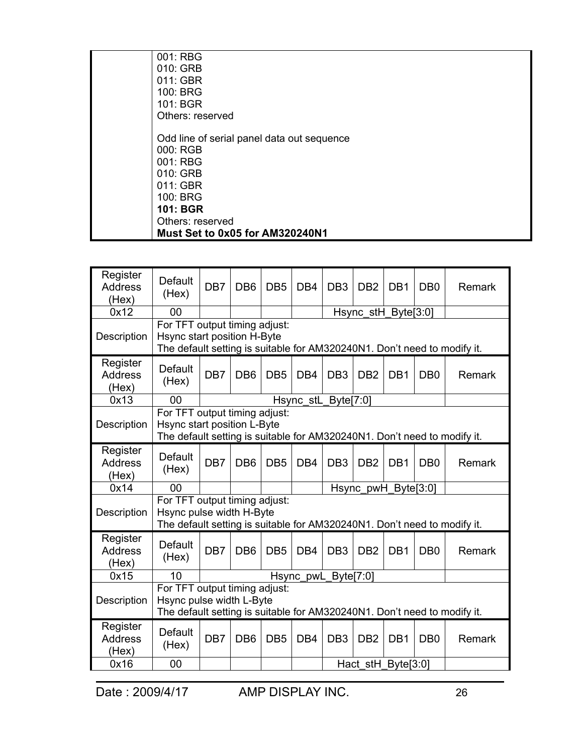| 001: RBG                                   |
|--------------------------------------------|
| 010: GRB                                   |
| 011: GBR                                   |
| 100: BRG                                   |
| 101: BGR                                   |
| Others: reserved                           |
| Odd line of serial panel data out sequence |
| 000: RGB                                   |
| 001: RBG                                   |
| 010: GRB                                   |
| 011: GBR                                   |
| 100: BRG                                   |
| <b>101: BGR</b>                            |
| Others: reserved                           |
| Must Set to 0x05 for AM320240N1            |

| Register<br><b>Address</b><br>(Hex) | Default<br>(Hex)                                                                                                                                                        | DB <sub>7</sub>                                                                                                                                              | DB <sub>6</sub> | DB <sub>5</sub> | DB <sub>4</sub> | DB <sub>3</sub> | D <sub>B2</sub>     | DB <sub>1</sub> | D <sub>B</sub>   | Remark |
|-------------------------------------|-------------------------------------------------------------------------------------------------------------------------------------------------------------------------|--------------------------------------------------------------------------------------------------------------------------------------------------------------|-----------------|-----------------|-----------------|-----------------|---------------------|-----------------|------------------|--------|
| 0x12                                | 00                                                                                                                                                                      |                                                                                                                                                              |                 |                 |                 |                 | Hsync_stH_Byte[3:0] |                 |                  |        |
| Description                         | For TFT output timing adjust:<br>Hsync start position H-Byte<br>The default setting is suitable for AM320240N1. Don't need to modify it.                                |                                                                                                                                                              |                 |                 |                 |                 |                     |                 |                  |        |
| Register<br><b>Address</b><br>(Hex) | <b>Default</b><br>(Hex)                                                                                                                                                 | DB7                                                                                                                                                          | DB <sub>6</sub> | DB <sub>5</sub> | DB <sub>4</sub> | DB <sub>3</sub> | D <sub>B2</sub>     | DB <sub>1</sub> | D <sub>B</sub> 0 | Remark |
| 0x13                                | 00                                                                                                                                                                      | Hsync_stL_Byte[7:0]                                                                                                                                          |                 |                 |                 |                 |                     |                 |                  |        |
| Description                         | For TFT output timing adjust:<br>Hsync start position L-Byte<br>The default setting is suitable for AM320240N1. Don't need to modify it.                                |                                                                                                                                                              |                 |                 |                 |                 |                     |                 |                  |        |
| Register<br><b>Address</b><br>(Hex) | Default<br>(Hex)                                                                                                                                                        | DB7                                                                                                                                                          | DB <sub>6</sub> | DB <sub>5</sub> | DB <sub>4</sub> | DB <sub>3</sub> | DB <sub>2</sub>     | DB <sub>1</sub> | DB <sub>0</sub>  | Remark |
| 0x14                                | 00                                                                                                                                                                      |                                                                                                                                                              |                 |                 |                 |                 | Hsync_pwH_Byte[3:0] |                 |                  |        |
| Description                         | For TFT output timing adjust:<br>Hsync pulse width H-Byte<br>The default setting is suitable for AM320240N1. Don't need to modify it.                                   |                                                                                                                                                              |                 |                 |                 |                 |                     |                 |                  |        |
| Register<br><b>Address</b><br>(Hex) | Default<br>(Hex)                                                                                                                                                        | DB7                                                                                                                                                          | DB <sub>6</sub> | DB <sub>5</sub> | DB <sub>4</sub> | DB <sub>3</sub> | D <sub>B2</sub>     | DB <sub>1</sub> | D <sub>B</sub>   | Remark |
| 0x15                                | 10                                                                                                                                                                      |                                                                                                                                                              |                 |                 |                 |                 |                     |                 |                  |        |
| Description                         |                                                                                                                                                                         | Hsync pwL Byte[7:0]<br>For TFT output timing adjust:<br>Hsync pulse width L-Byte<br>The default setting is suitable for AM320240N1. Don't need to modify it. |                 |                 |                 |                 |                     |                 |                  |        |
| Register<br><b>Address</b><br>(Hex) | Default<br>DB <sub>7</sub><br>DB <sub>6</sub><br>DB <sub>5</sub><br>DB <sub>4</sub><br>DB <sub>3</sub><br>D <sub>B2</sub><br>DB <sub>1</sub><br>D <sub>B</sub><br>(Hex) |                                                                                                                                                              |                 |                 |                 |                 |                     |                 |                  | Remark |
| 0x16                                | 00                                                                                                                                                                      |                                                                                                                                                              |                 |                 |                 |                 | Hact stH_Byte[3:0]  |                 |                  |        |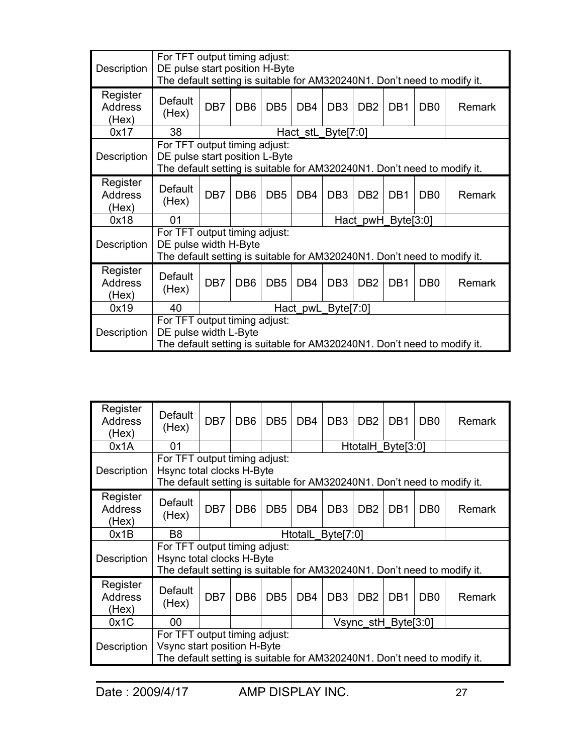| Description                         | For TFT output timing adjust:<br>DE pulse start position H-Byte<br>The default setting is suitable for AM320240N1. Don't need to modify it. |                                                                                                                                                                      |                 |                 |                 |                    |                    |                 |                 |               |  |  |
|-------------------------------------|---------------------------------------------------------------------------------------------------------------------------------------------|----------------------------------------------------------------------------------------------------------------------------------------------------------------------|-----------------|-----------------|-----------------|--------------------|--------------------|-----------------|-----------------|---------------|--|--|
| Register<br><b>Address</b><br>(Hex) | Default<br>(Hex)                                                                                                                            | DB <sub>7</sub>                                                                                                                                                      | DB <sub>6</sub> | DB <sub>5</sub> | DB <sub>4</sub> | DB <sub>3</sub>    | DB <sub>2</sub>    | DB <sub>1</sub> | DB <sub>0</sub> | <b>Remark</b> |  |  |
| 0x17                                | 38                                                                                                                                          | Hact_stL_Byte[7:0]                                                                                                                                                   |                 |                 |                 |                    |                    |                 |                 |               |  |  |
| Description                         | For TFT output timing adjust:<br>DE pulse start position L-Byte<br>The default setting is suitable for AM320240N1. Don't need to modify it. |                                                                                                                                                                      |                 |                 |                 |                    |                    |                 |                 |               |  |  |
| Register<br><b>Address</b><br>(Hex) | Default<br>(Hex)                                                                                                                            | DB <sub>7</sub><br>DB <sub>6</sub><br>DB <sub>5</sub><br>DB <sub>4</sub><br>DB <sub>3</sub><br>DB <sub>2</sub><br>DB <sub>1</sub><br>D <sub>B</sub><br><b>Remark</b> |                 |                 |                 |                    |                    |                 |                 |               |  |  |
| 0x18                                | 01                                                                                                                                          |                                                                                                                                                                      |                 |                 |                 |                    | Hact pwH_Byte[3:0] |                 |                 |               |  |  |
| Description                         | For TFT output timing adjust:<br>DE pulse width H-Byte<br>The default setting is suitable for AM320240N1. Don't need to modify it.          |                                                                                                                                                                      |                 |                 |                 |                    |                    |                 |                 |               |  |  |
| Register<br><b>Address</b><br>(Hex) | Default<br>(Hex)                                                                                                                            | DB <sub>7</sub>                                                                                                                                                      | DB <sub>6</sub> | DB <sub>5</sub> | DB <sub>4</sub> | DB <sub>3</sub>    | DB <sub>2</sub>    | DB <sub>1</sub> | DB <sub>0</sub> | <b>Remark</b> |  |  |
| 0x19                                | 40                                                                                                                                          |                                                                                                                                                                      |                 |                 |                 | Hact pwL Byte[7:0] |                    |                 |                 |               |  |  |
| Description                         | For TFT output timing adjust:<br>DE pulse width L-Byte<br>The default setting is suitable for AM320240N1. Don't need to modify it.          |                                                                                                                                                                      |                 |                 |                 |                    |                    |                 |                 |               |  |  |

| Register<br><b>Address</b><br>(Hex) | Default<br>(Hex)                                                                                                                         | DB <sub>7</sub>                                                                                                                        | DB <sub>6</sub> | DB <sub>5</sub> | DB <sub>4</sub> | DB <sub>3</sub>   | DB <sub>2</sub>   | D <sub>B</sub> 1 | DB <sub>0</sub>  | Remark |
|-------------------------------------|------------------------------------------------------------------------------------------------------------------------------------------|----------------------------------------------------------------------------------------------------------------------------------------|-----------------|-----------------|-----------------|-------------------|-------------------|------------------|------------------|--------|
| 0x1A                                | 01                                                                                                                                       |                                                                                                                                        |                 |                 |                 |                   | HtotalH Byte[3:0] |                  |                  |        |
| Description                         |                                                                                                                                          | For TFT output timing adjust:<br>Hsync total clocks H-Byte<br>The default setting is suitable for AM320240N1. Don't need to modify it. |                 |                 |                 |                   |                   |                  |                  |        |
| Register<br><b>Address</b><br>(Hex) | Default<br>(Hex)                                                                                                                         | DB7                                                                                                                                    | DB <sub>6</sub> | DB <sub>5</sub> | DB <sub>4</sub> | DB <sub>3</sub>   | D <sub>B2</sub>   | DB <sub>1</sub>  | D <sub>B</sub> 0 | Remark |
| 0x1B                                | B <sub>8</sub>                                                                                                                           |                                                                                                                                        |                 |                 |                 | HtotalL Byte[7:0] |                   |                  |                  |        |
| Description                         | For TFT output timing adjust:<br>Hsync total clocks H-Byte<br>The default setting is suitable for AM320240N1. Don't need to modify it.   |                                                                                                                                        |                 |                 |                 |                   |                   |                  |                  |        |
| Register<br><b>Address</b><br>(Hex) | Default<br>(Hex)                                                                                                                         | DB7                                                                                                                                    | DB <sub>6</sub> | DB <sub>5</sub> | DB <sub>4</sub> | DB <sub>3</sub>   | DB <sub>2</sub>   | DB <sub>1</sub>  | D <sub>B</sub> 0 | Remark |
| 0x1C                                | 00                                                                                                                                       | Vsync stH Byte[3:0]                                                                                                                    |                 |                 |                 |                   |                   |                  |                  |        |
| Description                         | For TFT output timing adjust:<br>Vsync start position H-Byte<br>The default setting is suitable for AM320240N1. Don't need to modify it. |                                                                                                                                        |                 |                 |                 |                   |                   |                  |                  |        |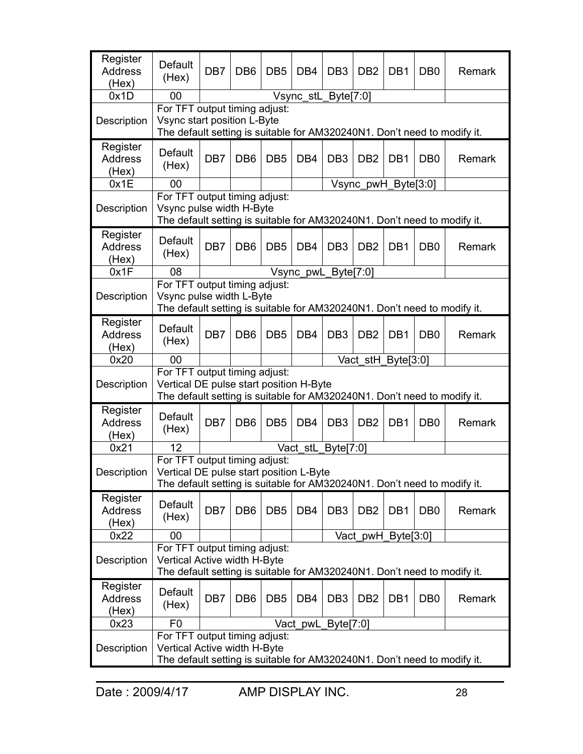| Register<br><b>Address</b><br>(Hex) | Default<br>(Hex)                                                                                                                                                | DB <sub>7</sub> | DB <sub>6</sub> | DB <sub>5</sub> | DB <sub>4</sub> | DB <sub>3</sub>     | DB <sub>2</sub>     | DB <sub>1</sub> | D <sub>B</sub> 0 | Remark |
|-------------------------------------|-----------------------------------------------------------------------------------------------------------------------------------------------------------------|-----------------|-----------------|-----------------|-----------------|---------------------|---------------------|-----------------|------------------|--------|
| 0x1D                                | 00                                                                                                                                                              |                 |                 |                 |                 | Vsync_stL_Byte[7:0] |                     |                 |                  |        |
| Description                         | For TFT output timing adjust:<br>Vsync start position L-Byte<br>The default setting is suitable for AM320240N1. Don't need to modify it.                        |                 |                 |                 |                 |                     |                     |                 |                  |        |
| Register<br><b>Address</b><br>(Hex) | <b>Default</b><br>(Hex)                                                                                                                                         | DB <sub>7</sub> | DB <sub>6</sub> | DB <sub>5</sub> | DB <sub>4</sub> | DB <sub>3</sub>     | DB <sub>2</sub>     | DB <sub>1</sub> | D <sub>B</sub> 0 | Remark |
| 0x1E                                | 00                                                                                                                                                              |                 |                 |                 |                 |                     | Vsync pwH Byte[3:0] |                 |                  |        |
| Description                         | For TFT output timing adjust:<br>Vsync pulse width H-Byte<br>The default setting is suitable for AM320240N1. Don't need to modify it.                           |                 |                 |                 |                 |                     |                     |                 |                  |        |
| Register<br><b>Address</b><br>(Hex) | Default<br>(Hex)                                                                                                                                                | DB7             | DB <sub>6</sub> | DB <sub>5</sub> | DB <sub>4</sub> | DB <sub>3</sub>     | D <sub>B2</sub>     | DB1             | D <sub>B</sub> 0 | Remark |
| 0x1F                                | 08                                                                                                                                                              |                 |                 |                 |                 | Vsync_pwL_Byte[7:0] |                     |                 |                  |        |
| Description                         | For TFT output timing adjust:<br>Vsync pulse width L-Byte<br>The default setting is suitable for AM320240N1. Don't need to modify it.                           |                 |                 |                 |                 |                     |                     |                 |                  |        |
| Register<br><b>Address</b><br>(Hex) | Default<br>(Hex)                                                                                                                                                | DB7             | DB <sub>6</sub> | DB <sub>5</sub> | DB <sub>4</sub> | DB <sub>3</sub>     | DB <sub>2</sub>     | DB <sub>1</sub> | DB <sub>0</sub>  | Remark |
| 0x20                                | 00                                                                                                                                                              |                 |                 |                 |                 |                     | Vact_stH_Byte[3:0]  |                 |                  |        |
| Description                         | For TFT output timing adjust:<br>Vertical DE pulse start position H-Byte<br>The default setting is suitable for AM320240N1. Don't need to modify it.            |                 |                 |                 |                 |                     |                     |                 |                  |        |
| Register<br><b>Address</b><br>(Hex) | Default<br>(Hex)                                                                                                                                                | DB <sub>7</sub> | DB <sub>6</sub> | DB <sub>5</sub> | DB <sub>4</sub> | DB <sub>3</sub>     | D <sub>B2</sub>     | DB1             | DB <sub>0</sub>  | Remark |
| 0x21                                | 12                                                                                                                                                              |                 |                 |                 |                 | Vact_stL_Byte[7:0]  |                     |                 |                  |        |
| Description                         | For TFT output timing adjust:<br>Vertical DE pulse start position L-Byte<br>The default setting is suitable for AM320240N1. Don't need to modify it.            |                 |                 |                 |                 |                     |                     |                 |                  |        |
| Register<br><b>Address</b><br>(Hex) | Default<br>(Hex)                                                                                                                                                | DB7             | DB <sub>6</sub> | DB <sub>5</sub> | DB <sub>4</sub> | DB <sub>3</sub>     | DB <sub>2</sub>     | DB <sub>1</sub> | DB <sub>0</sub>  | Remark |
| 0x22                                | 00                                                                                                                                                              |                 |                 |                 |                 |                     | Vact_pwH_Byte[3:0]  |                 |                  |        |
| Description                         | For TFT output timing adjust:<br>Vertical Active width H-Byte<br>The default setting is suitable for AM320240N1. Don't need to modify it.                       |                 |                 |                 |                 |                     |                     |                 |                  |        |
| Register<br><b>Address</b><br>(Hex) | Default<br>(Hex)                                                                                                                                                | DB7             | DB <sub>6</sub> | DB <sub>5</sub> | DB <sub>4</sub> | DB <sub>3</sub>     | DB <sub>2</sub>     | DB1             | D <sub>B</sub> 0 | Remark |
| 0x23                                | F <sub>0</sub>                                                                                                                                                  |                 |                 |                 |                 |                     |                     |                 |                  |        |
| Description                         | Vact_pwL_Byte[7:0]<br>For TFT output timing adjust:<br>Vertical Active width H-Byte<br>The default setting is suitable for AM320240N1. Don't need to modify it. |                 |                 |                 |                 |                     |                     |                 |                  |        |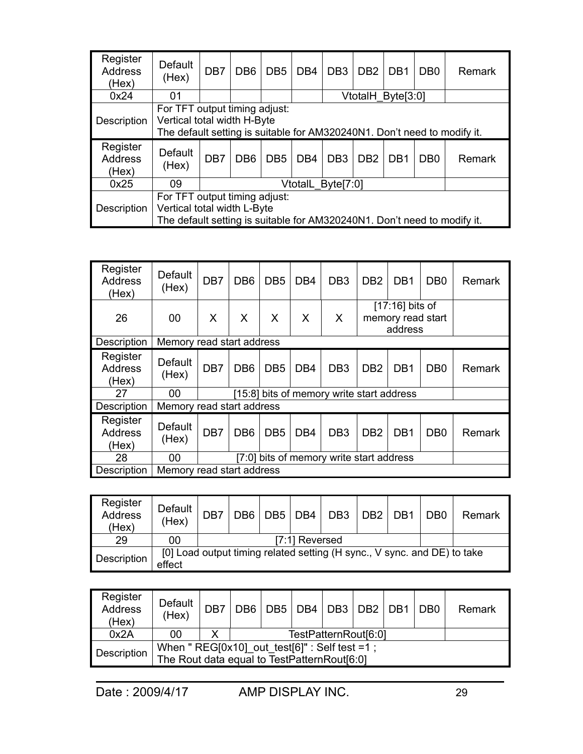| Register<br><b>Address</b><br>(Hex) | Default<br>(Hex) | DB7                                                                                                                                      | DB <sub>6</sub>                                                                                                                            | DB <sub>5</sub> | DB <sub>4</sub> | DB <sub>3</sub>   | DB <sub>2</sub> | DB <sub>1</sub> | D <sub>B</sub> 0 | Remark |  |  |
|-------------------------------------|------------------|------------------------------------------------------------------------------------------------------------------------------------------|--------------------------------------------------------------------------------------------------------------------------------------------|-----------------|-----------------|-------------------|-----------------|-----------------|------------------|--------|--|--|
| 0x24                                | 01               | VtotalH Byte[3:0]                                                                                                                        |                                                                                                                                            |                 |                 |                   |                 |                 |                  |        |  |  |
| Description                         |                  | For TFT output timing adjust:<br>Vertical total width H-Byte<br>The default setting is suitable for AM320240N1. Don't need to modify it. |                                                                                                                                            |                 |                 |                   |                 |                 |                  |        |  |  |
| Register                            |                  |                                                                                                                                          | DB <sub>6</sub><br>DB <sub>4</sub><br>DB <sub>3</sub><br>DB <sub>5</sub><br>D <sub>B2</sub><br>DB <sub>1</sub><br>D <sub>B</sub><br>Remark |                 |                 |                   |                 |                 |                  |        |  |  |
| <b>Address</b><br>(Hex)             | Default<br>(Hex) | DB7                                                                                                                                      |                                                                                                                                            |                 |                 |                   |                 |                 |                  |        |  |  |
| 0x25                                | 09               |                                                                                                                                          |                                                                                                                                            |                 |                 | VtotalL Byte[7:0] |                 |                 |                  |        |  |  |

| Register<br><b>Address</b><br>(Hex) | Default<br>(Hex)          | DB7                                      | DB <sub>6</sub> | DB <sub>5</sub> | DB <sub>4</sub> | DB <sub>3</sub>                           | D <sub>B2</sub> | DB <sub>1</sub>                                   | D <sub>B</sub> 0 | Remark |
|-------------------------------------|---------------------------|------------------------------------------|-----------------|-----------------|-----------------|-------------------------------------------|-----------------|---------------------------------------------------|------------------|--------|
| 26                                  | 00                        | X                                        | X               | X               | X               | $\boldsymbol{\mathsf{X}}$                 |                 | $[17:16]$ bits of<br>memory read start<br>address |                  |        |
| Description                         | Memory read start address |                                          |                 |                 |                 |                                           |                 |                                                   |                  |        |
| Register<br><b>Address</b><br>(Hex) | Default<br>(Hex)          | DB7                                      | DB <sub>6</sub> | DB <sub>5</sub> | DB <sub>4</sub> | DB <sub>3</sub>                           | D <sub>B2</sub> | DB <sub>1</sub>                                   | D <sub>B</sub> 0 | Remark |
| 27                                  | 00                        |                                          |                 |                 |                 | [15:8] bits of memory write start address |                 |                                                   |                  |        |
| Description                         | Memory read start address |                                          |                 |                 |                 |                                           |                 |                                                   |                  |        |
| Register<br><b>Address</b><br>(Hex) | Default<br>(Hex)          | DB7                                      | DB <sub>6</sub> | DB <sub>5</sub> | DB <sub>4</sub> | DB <sub>3</sub>                           | D <sub>B2</sub> | DB <sub>1</sub>                                   | D <sub>B</sub> 0 | Remark |
| 28                                  | 00                        | [7:0] bits of memory write start address |                 |                 |                 |                                           |                 |                                                   |                  |        |
| Description                         |                           | Memory read start address                |                 |                 |                 |                                           |                 |                                                   |                  |        |

| Register<br><b>Address</b><br>(Hex) | Default<br>(Hex)                                                                   | DB7 | DB <sub>6</sub> | DB5 DB4 |                | DB <sub>3</sub> | DB <sub>2</sub> | D <sub>R1</sub> | DB <sub>0</sub> | Remark |
|-------------------------------------|------------------------------------------------------------------------------------|-----|-----------------|---------|----------------|-----------------|-----------------|-----------------|-----------------|--------|
| 29                                  | 00                                                                                 |     |                 |         | [7:1] Reversed |                 |                 |                 |                 |        |
| Description                         | [0] Load output timing related setting (H sync., V sync. and DE) to take<br>effect |     |                 |         |                |                 |                 |                 |                 |        |

| Register<br><b>Address</b><br>(Hex) | Default<br>(Hex)                                                                                | DB7 |  | DB6   DB5   DB4   DB3   DB2   DB1 |  | D <sub>B</sub> 0 | Remark |
|-------------------------------------|-------------------------------------------------------------------------------------------------|-----|--|-----------------------------------|--|------------------|--------|
| 0x2A                                | 00                                                                                              | X   |  | TestPatternRout[6:0]              |  |                  |        |
| Description                         | When " $REG[0x10]$ _out_test[6]" : Self test =1;<br>The Rout data equal to TestPatternRout[6:0] |     |  |                                   |  |                  |        |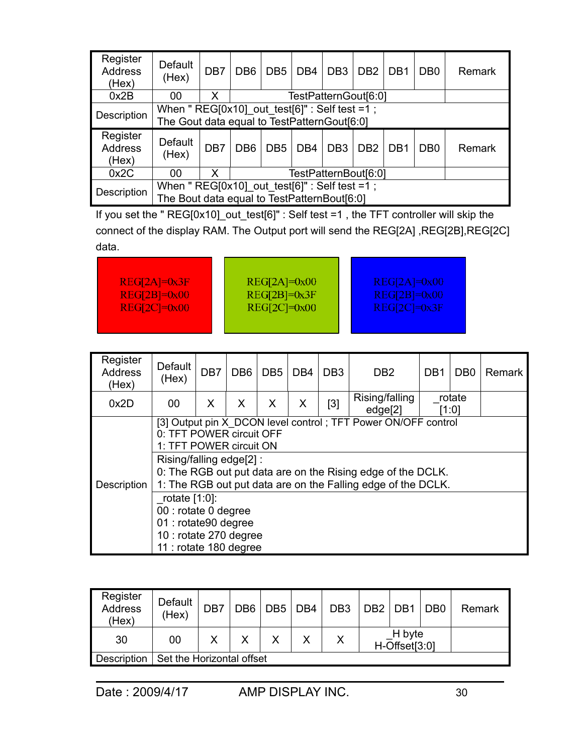| Register<br><b>Address</b><br>(Hex) | Default<br>(Hex)                                                                               | DB <sub>7</sub> | D <sub>B6</sub>                                                                                                                            | DB <sub>5</sub> | DB <sub>4</sub> | DB <sub>3</sub>      | DB <sub>2</sub> | D <sub>B</sub> 1 | D <sub>B</sub> 0 | Remark |
|-------------------------------------|------------------------------------------------------------------------------------------------|-----------------|--------------------------------------------------------------------------------------------------------------------------------------------|-----------------|-----------------|----------------------|-----------------|------------------|------------------|--------|
| 0x2B                                | 00                                                                                             | X               |                                                                                                                                            |                 |                 | TestPatternGout[6:0] |                 |                  |                  |        |
| Description                         | When " $REG[0x10]$ out test[6]" : Self test =1;<br>The Gout data equal to TestPatternGout[6:0] |                 |                                                                                                                                            |                 |                 |                      |                 |                  |                  |        |
|                                     |                                                                                                |                 | DB <sub>6</sub><br>DB <sub>3</sub><br>D <sub>B</sub><br>DB <sub>5</sub><br>DB <sub>4</sub><br>DB <sub>2</sub><br>DB <sub>1</sub><br>Remark |                 |                 |                      |                 |                  |                  |        |
| Register<br><b>Address</b><br>(Hex) | Default<br>(Hex)                                                                               | DB7             |                                                                                                                                            |                 |                 |                      |                 |                  |                  |        |
| 0x2C                                | 00                                                                                             | X               |                                                                                                                                            |                 |                 | TestPatternBout[6:0] |                 |                  |                  |        |

If you set the " REG[0x10]\_out\_test[6]" : Self test =1 , the TFT controller will skip the connect of the display RAM. The Output port will send the REG[2A] ,REG[2B],REG[2C] data.

| $REG[2A]=0x3F$ | $REG[2A]=0x00$       | $REG[2A]=0x00$   |
|----------------|----------------------|------------------|
| $REG[2B]=0x00$ | $REG[2B]=0x3F$       | $REG[2B]=0x00$   |
| $REG[2C]=0x00$ | $REG[2C]\equiv 0x00$ | $REG[2C] = 0x3F$ |
|                |                      |                  |

| Register<br><b>Address</b><br>(Hex) | Default<br>(Hex)                                                                                                     | DB <sub>7</sub> | DB <sub>6</sub> | DB <sub>5</sub> | DB4 | DB <sub>3</sub> | D <sub>B2</sub>                                                                                                                                                                              | DB <sub>1</sub> | D <sub>B</sub> 0 | Remark |
|-------------------------------------|----------------------------------------------------------------------------------------------------------------------|-----------------|-----------------|-----------------|-----|-----------------|----------------------------------------------------------------------------------------------------------------------------------------------------------------------------------------------|-----------------|------------------|--------|
| 0x2D                                | 00                                                                                                                   | X               | X               | X               | X   | [3]             | Rising/falling<br>edge[2]                                                                                                                                                                    |                 | rotate<br>[1:0]  |        |
| Description                         | 0: TFT POWER circuit OFF<br>1: TFT POWER circuit ON<br>Rising/falling edge[2]:                                       |                 |                 |                 |     |                 | [3] Output pin X DCON level control; TFT Power ON/OFF control<br>0: The RGB out put data are on the Rising edge of the DCLK.<br>1: The RGB out put data are on the Falling edge of the DCLK. |                 |                  |        |
|                                     | rotate $[1:0]$ :<br>00 : rotate 0 degree<br>01 : rotate90 degree<br>10 : rotate 270 degree<br>11 : rotate 180 degree |                 |                 |                 |     |                 |                                                                                                                                                                                              |                 |                  |        |

| Register<br><b>Address</b><br>(Hex) | Default<br>(Hex)          | DB7 | DB <sub>6</sub> | DB <sub>5</sub> | DB <sub>4</sub> | DB <sub>3</sub> | DB <sub>2</sub> DB <sub>1</sub> |                         | D <sub>B</sub> 0 | Remark |
|-------------------------------------|---------------------------|-----|-----------------|-----------------|-----------------|-----------------|---------------------------------|-------------------------|------------------|--------|
| 30                                  | 00                        |     |                 |                 |                 | Χ               |                                 | H byte<br>H-Offset[3:0] |                  |        |
| Description                         | Set the Horizontal offset |     |                 |                 |                 |                 |                                 |                         |                  |        |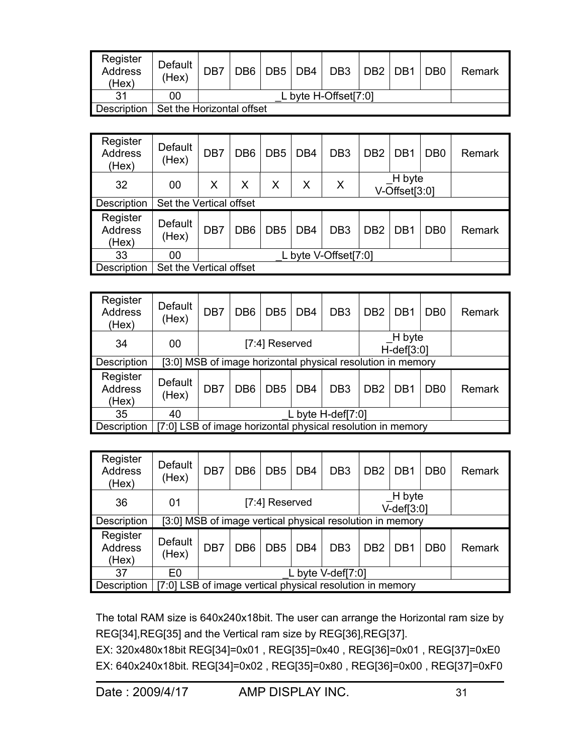| Register<br><b>Address</b><br>(Hex) | Default<br>(Hex)          | DB7 | DB6 DB5 DB4 | DB3                | DB2   DB1 | DB0 | Remark |
|-------------------------------------|---------------------------|-----|-------------|--------------------|-----------|-----|--------|
| 21                                  | 00                        |     |             | byte H-Offset[7:0] |           |     |        |
| <b>Description</b>                  | Set the Horizontal offset |     |             |                    |           |     |        |

| Register<br><b>Address</b><br>(Hex) | Default<br>(Hex)        | DB7 | DB <sub>6</sub> | DB <sub>5</sub> | DB <sub>4</sub> | DB <sub>3</sub>      | D <sub>B2</sub> | DB <sub>1</sub>               | D <sub>B</sub> 0 | Remark |
|-------------------------------------|-------------------------|-----|-----------------|-----------------|-----------------|----------------------|-----------------|-------------------------------|------------------|--------|
| 32                                  | 00                      | X   | X               | Χ               | Χ               | Χ                    |                 | H byte<br>$V$ -Offset $[3:0]$ |                  |        |
| Description                         | Set the Vertical offset |     |                 |                 |                 |                      |                 |                               |                  |        |
| Register<br>Address<br>(Hex)        | <b>Default</b><br>(Hex) | DB7 | DB <sub>6</sub> | DB <sub>5</sub> | DB <sub>4</sub> | DB <sub>3</sub>      | D <sub>B2</sub> | DB <sub>1</sub>               | D <sub>B</sub> 0 | Remark |
| 33                                  | 00                      |     |                 |                 |                 | L byte V-Offset[7:0] |                 |                               |                  |        |
| Description                         | Set the Vertical offset |     |                 |                 |                 |                      |                 |                               |                  |        |

| Register<br><b>Address</b><br>(Hex) | Default<br>(Hex)                                            | DB7 | DB <sub>6</sub> | DB <sub>5</sub> | DB <sub>4</sub> | DB <sub>3</sub>                                             | D <sub>B2</sub> | DB <sub>1</sub>             | D <sub>B</sub> 0 | Remark |
|-------------------------------------|-------------------------------------------------------------|-----|-----------------|-----------------|-----------------|-------------------------------------------------------------|-----------------|-----------------------------|------------------|--------|
| 34                                  | 00                                                          |     |                 | [7:4] Reserved  |                 |                                                             |                 | H byte<br>$H$ -def[ $3:0$ ] |                  |        |
| Description                         |                                                             |     |                 |                 |                 | [3:0] MSB of image horizontal physical resolution in memory |                 |                             |                  |        |
| Register<br><b>Address</b><br>(Hex) | Default<br>(Hex)                                            | DB7 | DB <sub>6</sub> | DB <sub>5</sub> | DB <sub>4</sub> | DB <sub>3</sub>                                             | D <sub>B2</sub> | DB <sub>1</sub>             | D <sub>B</sub> 0 | Remark |
| 35                                  | 40                                                          |     |                 |                 |                 | L byte $H$ -def[7:0]                                        |                 |                             |                  |        |
| Description                         | [7:0] LSB of image horizontal physical resolution in memory |     |                 |                 |                 |                                                             |                 |                             |                  |        |

| Register<br>Address<br>(Hex)        | Default<br>(Hex) | DB7 | DB <sub>6</sub>                                           | DB <sub>5</sub> | DB <sub>4</sub> | DB <sub>3</sub>                                           | D <sub>B2</sub> | DB <sub>1</sub>             | D <sub>B</sub> 0 | Remark |
|-------------------------------------|------------------|-----|-----------------------------------------------------------|-----------------|-----------------|-----------------------------------------------------------|-----------------|-----------------------------|------------------|--------|
| 36                                  | 01               |     |                                                           | [7:4] Reserved  |                 |                                                           |                 | H byte<br>$V$ -def[ $3:0$ ] |                  |        |
| Description                         |                  |     |                                                           |                 |                 | [3:0] MSB of image vertical physical resolution in memory |                 |                             |                  |        |
| Register<br><b>Address</b><br>(Hex) | Default<br>(Hex) | DB7 | DB <sub>6</sub>                                           | DB <sub>5</sub> | DB <sub>4</sub> | DB <sub>3</sub>                                           | D <sub>B2</sub> | DB <sub>1</sub>             | D <sub>B</sub> 0 | Remark |
| 37                                  | E <sub>0</sub>   |     |                                                           |                 |                 | L byte V-def[7:0]                                         |                 |                             |                  |        |
| Description                         |                  |     | [7:0] LSB of image vertical physical resolution in memory |                 |                 |                                                           |                 |                             |                  |        |

The total RAM size is 640x240x18bit. The user can arrange the Horizontal ram size by REG[34],REG[35] and the Vertical ram size by REG[36],REG[37].

EX: 320x480x18bit REG[34]=0x01 , REG[35]=0x40 , REG[36]=0x01 , REG[37]=0xE0 EX: 640x240x18bit. REG[34]=0x02 , REG[35]=0x80 , REG[36]=0x00 , REG[37]=0xF0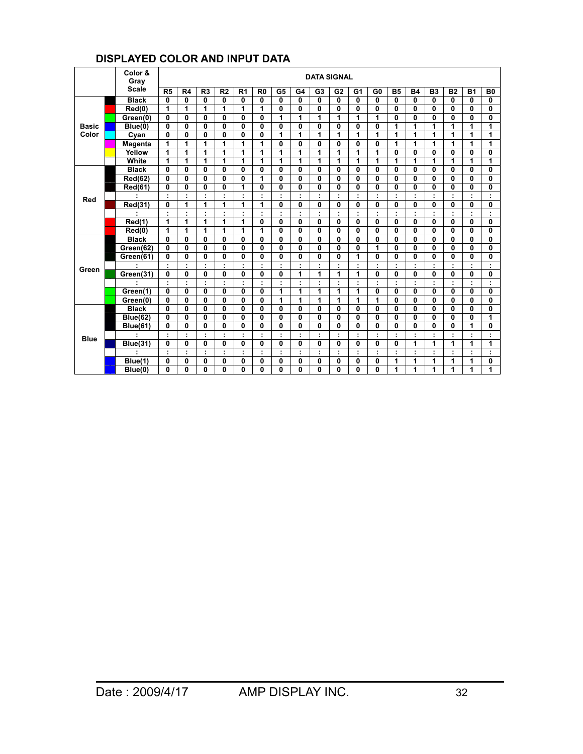#### **DISPLAYED COLOR AND INPUT DATA**

|              | Color &<br>Gray     |                      |              |                |                |                |                      |                |              |                | <b>DATA SIGNAL</b>   |                      |                |              |              |                      |                      |              |                |
|--------------|---------------------|----------------------|--------------|----------------|----------------|----------------|----------------------|----------------|--------------|----------------|----------------------|----------------------|----------------|--------------|--------------|----------------------|----------------------|--------------|----------------|
|              | <b>Scale</b>        | R <sub>5</sub>       | R4           | R <sub>3</sub> | R <sub>2</sub> | R <sub>1</sub> | R <sub>0</sub>       | G <sub>5</sub> | G4           | G <sub>3</sub> | G <sub>2</sub>       | G <sub>1</sub>       | G <sub>0</sub> | <b>B5</b>    | <b>B4</b>    | <b>B3</b>            | <b>B2</b>            | <b>B1</b>    | B <sub>0</sub> |
|              | <b>Black</b>        | $\mathbf{0}$         | 0            | 0              | $\mathbf{0}$   | 0              | 0                    | $\mathbf{0}$   | 0            | 0              | $\mathbf{0}$         | 0                    | 0              | 0            | 0            | 0                    | 0                    | $\mathbf{0}$ | 0              |
|              | $\overline{Red(0)}$ | 1                    | 1            | 1              | 1              | 1              | 1                    | 0              | 0            | 0              | $\mathbf{0}$         | 0                    | 0              | 0            | 0            | 0                    | 0                    | 0            | 0              |
|              | Green(0)            | 0                    | 0            | $\mathbf{0}$   | $\mathbf{0}$   | 0              | 0                    | 1              | 1            | 1              | 1                    | 1                    | 1              | $\mathbf{0}$ | $\Omega$     | 0                    | 0                    | 0            | 0              |
| <b>Basic</b> | Blue(0)             | 0                    | 0            | $\mathbf{0}$   | $\mathbf{0}$   | 0              | 0                    | 0              | $\mathbf{0}$ | 0              | $\mathbf{0}$         | 0                    | 0              | 1            | 1            | 1                    | 1                    | 1            | 1              |
| Color        | Cyan                | $\mathbf{0}$         | $\mathbf{0}$ | $\mathbf{0}$   | $\mathbf{0}$   | 0              | 0                    | 1              | 1            | 1              | 1                    | 1                    | 1              | 1            | 1            | 1                    | 1                    | 1            | 1              |
|              | <b>Magenta</b>      | 1                    | 1            | 1              | 1              | 1              | 1                    | $\mathbf{0}$   | $\mathbf{0}$ | 0              | $\mathbf{0}$         | 0                    | 0              | 1            | 1            | 1                    | 1                    | 1            | 1              |
|              | Yellow              | 1                    | 1            | 1              | 1              | 1              | 1                    | 1              | 1            | 1              | 1                    | 1                    | 1              | $\mathbf{0}$ | $\mathbf{0}$ | 0                    | 0                    | 0            | 0              |
|              | White               | 1                    | 1            | 1              | 1              | 1              | 1                    | 1              | 1            | 1              | 1                    | 1                    | 1              | 1            | 1            | 1                    | 1                    | 1            | 1              |
|              | <b>Black</b>        | 0                    | 0            | $\mathbf{0}$   | $\mathbf{0}$   | 0              | 0                    | $\mathbf{0}$   | $\mathbf 0$  | 0              | $\mathbf{0}$         | 0                    | 0              | $\mathbf{0}$ | $\mathbf 0$  | 0                    | 0                    | $\mathbf{0}$ | $\mathbf{0}$   |
|              | <b>Red(62)</b>      | 0                    | 0            | $\mathbf{0}$   | $\mathbf{0}$   | 0              | 1                    | 0              | 0            | 0              | $\mathbf{0}$         | 0                    | 0              | $\mathbf{0}$ | 0            | 0                    | 0                    | $\mathbf{0}$ | $\mathbf{0}$   |
|              | Red(61)             | $\mathbf{0}$         | 0            | 0              | 0              | 1              | 0                    | 0              | 0            | 0              | $\mathbf{0}$         | $\mathbf{0}$         | 0              | 0            | $\mathbf{0}$ | 0                    | 0                    | 0            | $\mathbf{0}$   |
| Red          |                     | $\ddot{\phantom{a}}$ | ÷            | ÷              | ÷              | ÷              | $\ddot{\phantom{a}}$ | ÷              | ÷            | ÷              | ÷                    | ÷                    | ÷              | ÷            | ÷            | ÷                    | ÷                    | ÷            | ÷              |
|              | Red(31)             | 0                    | 1            | 1              | 1              | 1              | 1                    | 0              | 0            | 0              | $\mathbf{0}$         | $\mathbf{0}$         | 0              | 0            | $\bf{0}$     | 0                    | 0                    | 0            | $\mathbf{0}$   |
|              |                     | ÷                    | ÷            | ٠              | $\blacksquare$ | ÷              | ÷                    | ÷              | ÷            | ÷              | ÷                    | ÷                    | ÷              | ÷            |              | ÷                    | ÷                    | ×            | ÷              |
|              | Red(1)              | 1                    | 1            | 1              | 1              | 1              | 0                    | $\mathbf{0}$   | 0            | 0              | $\mathbf{0}$         | 0                    | 0              | $\mathbf{0}$ | $\mathbf 0$  | 0                    | 0                    | $\mathbf{0}$ | 0              |
|              | Red(0)              | 1                    | 1            | 1              | 1              | 1              | 1                    | $\mathbf{0}$   | 0            | 0              | $\mathbf{0}$         | 0                    | 0              | $\mathbf{0}$ | $\mathbf 0$  | 0                    | 0                    | $\mathbf{0}$ | 0              |
|              | <b>Black</b>        | $\mathbf{0}$         | $\mathbf{0}$ | $\mathbf{0}$   | $\mathbf{0}$   | $\bf{0}$       | 0                    | $\mathbf{0}$   | $\mathbf{0}$ | 0              | $\mathbf{0}$         | 0                    | 0              | $\mathbf{0}$ | $\mathbf{0}$ | 0                    | 0                    | $\mathbf{0}$ | $\mathbf{0}$   |
|              | Green(62)           | $\bf{0}$             | $\bf{0}$     | $\mathbf{0}$   | 0              | 0              | 0                    | $\mathbf{0}$   | $\Omega$     | 0              | $\mathbf{0}$         | $\mathbf{0}$         | 1              | 0            | $\Omega$     | 0                    | 0                    | $\bf{0}$     | $\mathbf{0}$   |
|              | Green(61)           | 0                    | $\bf{0}$     | $\bf{0}$       | $\mathbf{0}$   | 0              | 0                    | $\mathbf{0}$   | 0            | 0              | $\mathbf{0}$         | 1                    | 0              | $\mathbf{0}$ | $\bf{0}$     | 0                    | 0                    | 0            | $\mathbf{0}$   |
| Green        |                     | ÷                    | ÷            | ٠              | t              |                | ÷                    | t              |              | $\blacksquare$ | ÷                    | ÷                    | ٠              | ÷            |              | ÷                    | ÷                    |              | ÷              |
|              | Green(31)           | 0                    | 0            | $\mathbf{0}$   | 0              | $\bf{0}$       | 0                    | 0              | 1            | 1              | 1                    | 1                    | 0              | 0            | $\mathbf{0}$ | 0                    | 0                    | $\mathbf{0}$ | 0              |
|              |                     | ÷                    | ÷            | ٠              | ÷              | $\cdot$        | $\ddot{\phantom{a}}$ | t              | $\cdot$      | $\blacksquare$ | ÷                    | $\ddot{\phantom{a}}$ | ÷              | ÷            |              | $\ddot{\phantom{a}}$ | ÷                    | ٠            | ÷              |
|              | Green(1)            | $\mathbf{0}$         | 0            | 0              | 0              | 0              | 0                    | 1              | 1            | 1              | 1                    | 1                    | 0              | 0            | 0            | 0                    | 0                    | 0            | $\mathbf{0}$   |
|              | Green(0)            | $\mathbf{0}$         | 0            | $\mathbf{0}$   | $\mathbf{0}$   | 0              | 0                    | 1              | 1            | 1              | 1                    | 1                    | 1              | 0            | 0            | 0                    | 0                    | 0            | $\mathbf{0}$   |
|              | <b>Black</b>        | $\mathbf{0}$         | $\mathbf{0}$ | $\mathbf{0}$   | $\mathbf{0}$   | $\bf{0}$       | 0                    | $\mathbf{0}$   | 0            | 0              | $\mathbf{0}$         | 0                    | 0              | $\mathbf{0}$ | $\mathbf 0$  | 0                    | 0                    | 0            | $\mathbf{0}$   |
|              | <b>Blue(62)</b>     | $\mathbf{0}$         | $\bf{0}$     | $\mathbf{0}$   | $\mathbf{0}$   | 0              | $\bf{0}$             | 0              | $\bf{0}$     | 0              | $\mathbf{0}$         | $\mathbf{0}$         | $\mathbf{0}$   | $\mathbf{0}$ | $\mathbf{0}$ | 0                    | 0                    | 0            | 1              |
|              | <b>Blue(61)</b>     | 0                    | $\bf{0}$     | $\Omega$       | $\mathbf{0}$   | $\bf{0}$       | 0                    | $\mathbf{0}$   | 0            | 0              | $\mathbf{0}$         | 0                    | $\bf{0}$       | 0            | $\mathbf{0}$ | 0                    | 0                    | 1            | 0              |
| <b>Blue</b>  |                     | ÷                    | ÷            | ÷              | ÷              | ÷              | $\ddot{\phantom{a}}$ | ÷              | ÷            | ÷              | $\ddot{\phantom{a}}$ | ÷                    | ÷              | ÷            | ÷            | $\ddot{\phantom{a}}$ | $\ddot{\phantom{a}}$ | ÷            | ÷              |
|              | <b>Blue(31)</b>     | $\mathbf{0}$         | 0            | $\mathbf{0}$   | 0              | $\bf{0}$       | 0                    | 0              | 0            | 0              | $\mathbf{0}$         | 0                    | 0              | 0            | 1            | 1                    | 1                    | 1            | 1              |
|              |                     | ÷                    | ÷            | ÷              | ÷              | ÷              | ÷                    | ÷              | ÷            | ÷              | ÷                    | ÷                    | ÷              | ÷            |              | ÷                    | ÷                    |              | ÷              |
|              | Blue(1)             | 0                    | $\mathbf 0$  | $\mathbf{0}$   | 0              | 0              | 0                    | 0              | 0            | 0              | 0                    | 0                    | 0              | 1            | 1            | 1                    | 1                    | 1            | $\mathbf{0}$   |
|              | Blue(0)             | 0                    | 0            | 0              | 0              | 0              | 0                    | $\mathbf{0}$   | 0            | 0              | $\mathbf{0}$         | 0                    | 0              | 1            | 1            | 1                    | 1                    | 1            | 1              |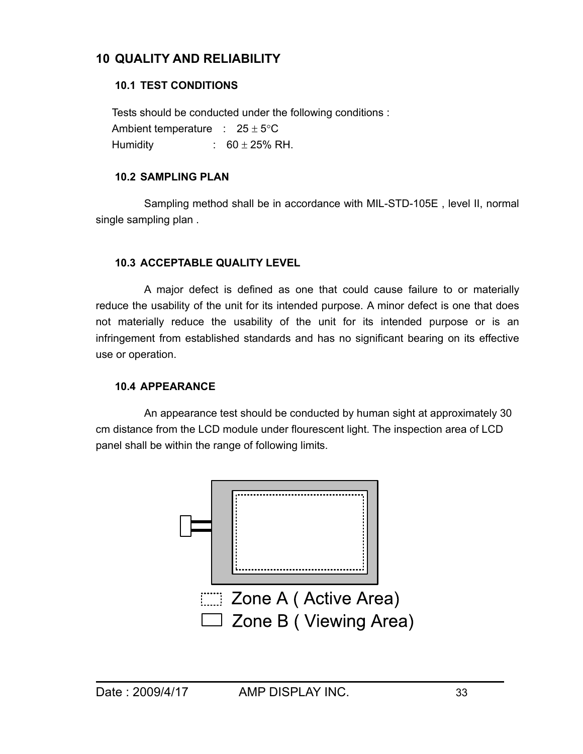# **10 QUALITY AND RELIABILITY**

# **10.1 TEST CONDITIONS**

 Tests should be conducted under the following conditions : Ambient temperature :  $25 \pm 5^{\circ}$ C Humidity :  $60 \pm 25\%$  RH.

## **10.2 SAMPLING PLAN**

 Sampling method shall be in accordance with MIL-STD-105E , level II, normal single sampling plan .

## **10.3 ACCEPTABLE QUALITY LEVEL**

 A major defect is defined as one that could cause failure to or materially reduce the usability of the unit for its intended purpose. A minor defect is one that does not materially reduce the usability of the unit for its intended purpose or is an infringement from established standards and has no significant bearing on its effective use or operation.

# **10.4 APPEARANCE**

 An appearance test should be conducted by human sight at approximately 30 cm distance from the LCD module under flourescent light. The inspection area of LCD panel shall be within the range of following limits.

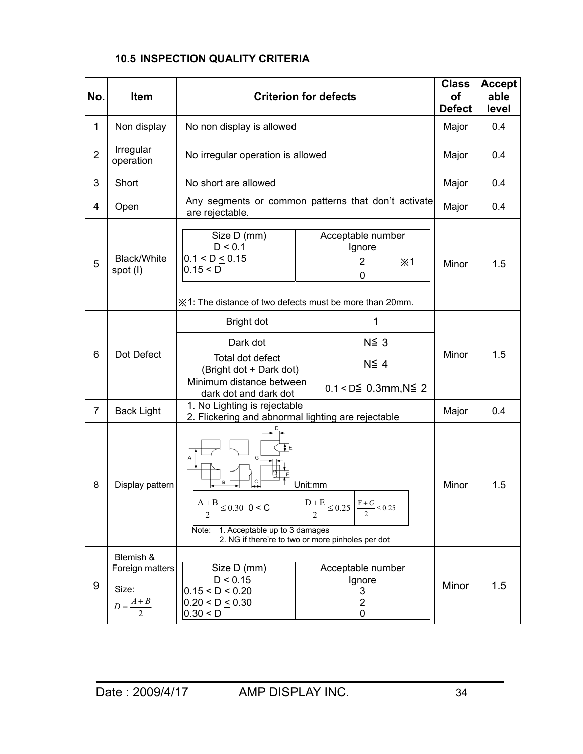# **10.5 INSPECTION QUALITY CRITERIA**

| No.            | <b>Item</b>                    |                                                                                                                     | <b>Criterion for defects</b>                                                                                      | <b>Class</b><br>of<br><b>Defect</b> | <b>Accept</b><br>able<br>level |
|----------------|--------------------------------|---------------------------------------------------------------------------------------------------------------------|-------------------------------------------------------------------------------------------------------------------|-------------------------------------|--------------------------------|
| $\mathbf{1}$   | Non display                    | No non display is allowed                                                                                           |                                                                                                                   | Major                               | 0.4                            |
| $\overline{2}$ | Irregular<br>operation         | No irregular operation is allowed                                                                                   |                                                                                                                   | Major                               | 0.4                            |
| 3              | Short                          | No short are allowed                                                                                                |                                                                                                                   | Major                               | 0.4                            |
| 4              | Open                           | are rejectable.                                                                                                     | Any segments or common patterns that don't activate                                                               | Major                               | 0.4                            |
| 5              | <b>Black/White</b><br>spot (I) | Size D (mm)<br>D < 0.1<br>$0.1 < D \le 0.15$<br>0.15 < D<br>※1: The distance of two defects must be more than 20mm. | Acceptable number<br>Ignore<br>$\overline{2}$<br>$*1$<br>0                                                        | Minor                               | 1.5                            |
|                |                                | Bright dot                                                                                                          | 1                                                                                                                 |                                     |                                |
|                |                                | Dark dot                                                                                                            | $N\leq 3$                                                                                                         |                                     |                                |
| 6              | Dot Defect                     | Total dot defect<br>(Bright dot + Dark dot)<br>Minimum distance between                                             | $N\leq 4$                                                                                                         | Minor                               | 1.5                            |
|                |                                | dark dot and dark dot                                                                                               | $0.1 < D \le 0.3$ mm, N $\le 2$                                                                                   |                                     |                                |
| $\overline{7}$ | <b>Back Light</b>              | 1. No Lighting is rejectable<br>2. Flickering and abnormal lighting are rejectable                                  |                                                                                                                   | Major                               | 0.4                            |
| 8              | Display pattern                | B<br>$\frac{A+B}{2} \le 0.30$   0 < C<br>1. Acceptable up to 3 damages<br>Note:                                     | Unit:mm<br>$\frac{D+E}{2} \le 0.25$ $\frac{F+G}{2} \le 0.25$<br>2. NG if there're to two or more pinholes per dot | Minor                               | 1.5                            |
|                | Blemish &                      |                                                                                                                     |                                                                                                                   |                                     |                                |
|                | Foreign matters                | Size D (mm)<br>D < 0.15                                                                                             |                                                                                                                   |                                     |                                |
| 9              | Size:<br>$D=\frac{A+B}{2}$     | $0.15 < D \le 0.20$<br>$0.20 < D \le 0.30$<br>0.30 < D                                                              | Ignore<br>3<br>$\overline{c}$<br>0                                                                                | Minor                               | 1.5                            |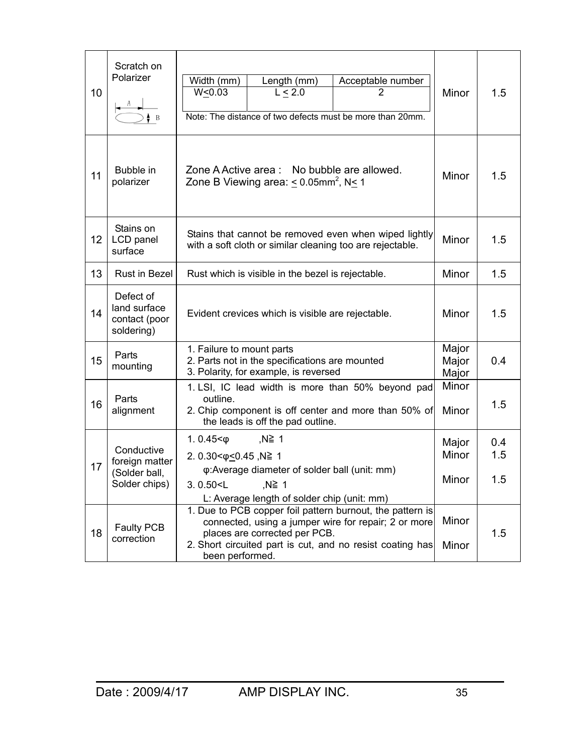| 10 | Scratch on<br>Polarizer                                        | Width (mm)<br>Length (mm)<br>Acceptable number<br>L < 2.0<br>W < 0.03<br>2<br>Note: The distance of two defects must be more than 20mm.                                                                                            | Minor                   | 1.5               |
|----|----------------------------------------------------------------|------------------------------------------------------------------------------------------------------------------------------------------------------------------------------------------------------------------------------------|-------------------------|-------------------|
| 11 | Bubble in<br>polarizer                                         | Zone A Active area : No bubble are allowed.<br>Zone B Viewing area: $\leq 0.05$ mm <sup>2</sup> , N $\leq 1$                                                                                                                       |                         | 1.5               |
| 12 | Stains on<br>LCD panel<br>surface                              | Stains that cannot be removed even when wiped lightly<br>with a soft cloth or similar cleaning too are rejectable.                                                                                                                 |                         | 1.5               |
| 13 | <b>Rust in Bezel</b>                                           | Rust which is visible in the bezel is rejectable.                                                                                                                                                                                  |                         | 1.5               |
| 14 | Defect of<br>land surface<br>contact (poor<br>soldering)       | Evident crevices which is visible are rejectable.                                                                                                                                                                                  |                         | 1.5               |
| 15 | Parts<br>mounting                                              | 1. Failure to mount parts<br>2. Parts not in the specifications are mounted<br>3. Polarity, for example, is reversed                                                                                                               |                         | 0.4               |
| 16 | Parts<br>alignment                                             | 1. LSI, IC lead width is more than 50% beyond pad<br>outline.<br>2. Chip component is off center and more than 50% of<br>the leads is off the pad outline.                                                                         |                         | 1.5               |
| 17 | Conductive<br>foreign matter<br>(Solder ball,<br>Solder chips) | 1.0.45 $<$ $\phi$<br>,N≧ 1<br>2. $0.30 < \phi \leq 0.45$ , N≧ 1<br>φ: Average diameter of solder ball (unit: mm)<br>3.0.50 < L<br>,N≧ 1<br>L: Average length of solder chip (unit: mm)                                             | Major<br>Minor<br>Minor | 0.4<br>1.5<br>1.5 |
| 18 | Faulty PCB<br>correction                                       | 1. Due to PCB copper foil pattern burnout, the pattern is<br>connected, using a jumper wire for repair; 2 or more<br>places are corrected per PCB.<br>2. Short circuited part is cut, and no resist coating has<br>been performed. | Minor<br>Minor          | 1.5               |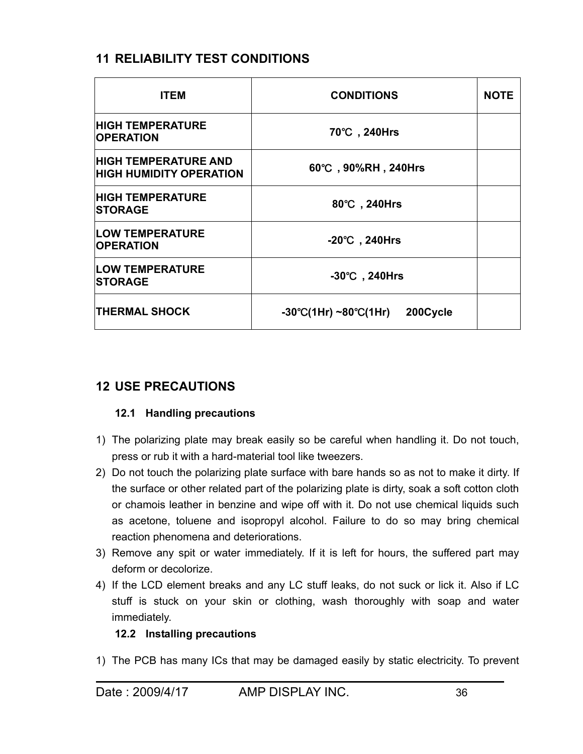# **11 RELIABILITY TEST CONDITIONS**

| <b>ITEM</b>                                                   | <b>CONDITIONS</b>                                     | <b>NOTE</b> |
|---------------------------------------------------------------|-------------------------------------------------------|-------------|
| <b>HIGH TEMPERATURE</b><br><b>OPERATION</b>                   | 70°C, 240Hrs                                          |             |
| <b>HIGH TEMPERATURE AND</b><br><b>HIGH HUMIDITY OPERATION</b> | 60°C, 90%RH, 240Hrs                                   |             |
| <b>HIGH TEMPERATURE</b><br><b>ISTORAGE</b>                    | 80°C, 240Hrs                                          |             |
| <b>LOW TEMPERATURE</b><br><b>OPERATION</b>                    | $-20^{\circ}$ C, 240Hrs                               |             |
| <b>LOW TEMPERATURE</b><br><b>STORAGE</b>                      | $-30^{\circ}$ C, 240Hrs                               |             |
| <b>THERMAL SHOCK</b>                                          | $-30^{\circ}C(1Hr) \sim 80^{\circ}C(1Hr)$<br>200Cycle |             |

# **12 USE PRECAUTIONS**

### **12.1 Handling precautions**

- 1) The polarizing plate may break easily so be careful when handling it. Do not touch, press or rub it with a hard-material tool like tweezers.
- 2) Do not touch the polarizing plate surface with bare hands so as not to make it dirty. If the surface or other related part of the polarizing plate is dirty, soak a soft cotton cloth or chamois leather in benzine and wipe off with it. Do not use chemical liquids such as acetone, toluene and isopropyl alcohol. Failure to do so may bring chemical reaction phenomena and deteriorations.
- 3) Remove any spit or water immediately. If it is left for hours, the suffered part may deform or decolorize.
- 4) If the LCD element breaks and any LC stuff leaks, do not suck or lick it. Also if LC stuff is stuck on your skin or clothing, wash thoroughly with soap and water immediately.

### **12.2 Installing precautions**

1) The PCB has many ICs that may be damaged easily by static electricity. To prevent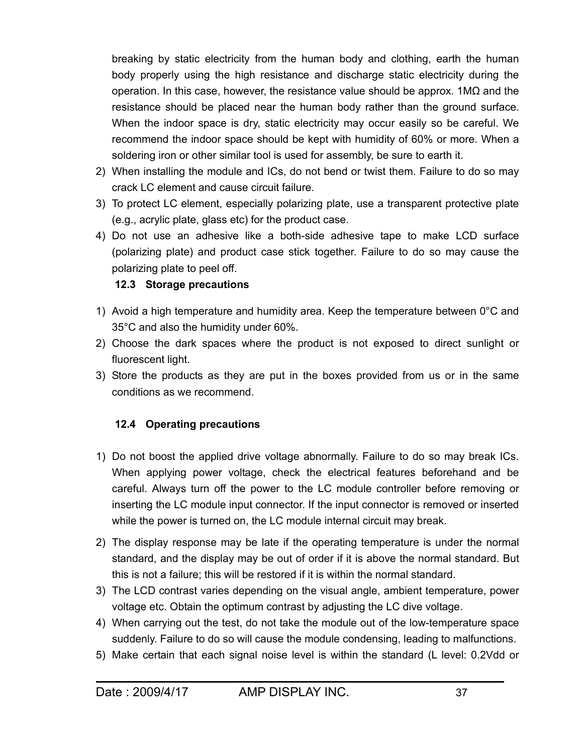breaking by static electricity from the human body and clothing, earth the human body properly using the high resistance and discharge static electricity during the operation. In this case, however, the resistance value should be approx.  $1M\Omega$  and the resistance should be placed near the human body rather than the ground surface. When the indoor space is dry, static electricity may occur easily so be careful. We recommend the indoor space should be kept with humidity of 60% or more. When a soldering iron or other similar tool is used for assembly, be sure to earth it.

- 2) When installing the module and ICs, do not bend or twist them. Failure to do so may crack LC element and cause circuit failure.
- 3) To protect LC element, especially polarizing plate, use a transparent protective plate (e.g., acrylic plate, glass etc) for the product case.
- 4) Do not use an adhesive like a both-side adhesive tape to make LCD surface (polarizing plate) and product case stick together. Failure to do so may cause the polarizing plate to peel off.

## **12.3 Storage precautions**

- 1) Avoid a high temperature and humidity area. Keep the temperature between  $0^{\circ}$ C and 35°C and also the humidity under 60%.
- 2) Choose the dark spaces where the product is not exposed to direct sunlight or fluorescent light.
- 3) Store the products as they are put in the boxes provided from us or in the same conditions as we recommend.

# **12.4 Operating precautions**

- 1) Do not boost the applied drive voltage abnormally. Failure to do so may break ICs. When applying power voltage, check the electrical features beforehand and be careful. Always turn off the power to the LC module controller before removing or inserting the LC module input connector. If the input connector is removed or inserted while the power is turned on, the LC module internal circuit may break.
- 2) The display response may be late if the operating temperature is under the normal standard, and the display may be out of order if it is above the normal standard. But this is not a failure; this will be restored if it is within the normal standard.
- 3) The LCD contrast varies depending on the visual angle, ambient temperature, power voltage etc. Obtain the optimum contrast by adjusting the LC dive voltage.
- 4) When carrying out the test, do not take the module out of the low-temperature space suddenly. Failure to do so will cause the module condensing, leading to malfunctions.
- 5) Make certain that each signal noise level is within the standard (L level: 0.2Vdd or